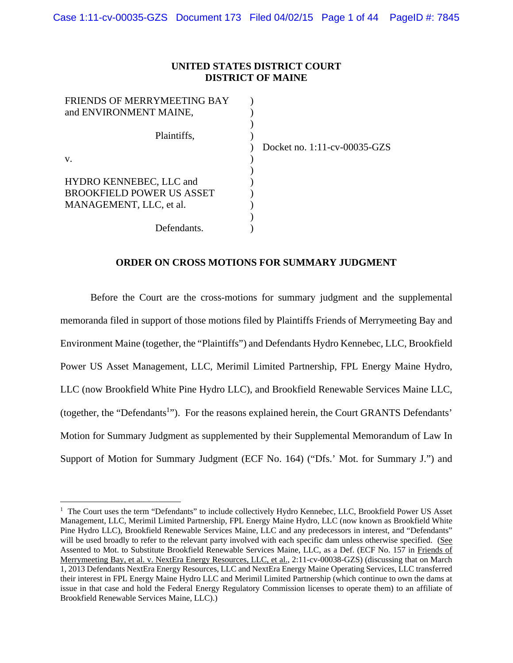### **UNITED STATES DISTRICT COURT DISTRICT OF MAINE**

| FRIENDS OF MERRYMEETING BAY      |  |
|----------------------------------|--|
| and ENVIRONMENT MAINE,           |  |
|                                  |  |
| Plaintiffs,                      |  |
|                                  |  |
| V.                               |  |
|                                  |  |
| HYDRO KENNEBEC, LLC and          |  |
| <b>BROOKFIELD POWER US ASSET</b> |  |
| MANAGEMENT, LLC, et al.          |  |
|                                  |  |
| Defendants.                      |  |

1

) Docket no. 1:11-cv-00035-GZS

### **ORDER ON CROSS MOTIONS FOR SUMMARY JUDGMENT**

Before the Court are the cross-motions for summary judgment and the supplemental memoranda filed in support of those motions filed by Plaintiffs Friends of Merrymeeting Bay and Environment Maine (together, the "Plaintiffs") and Defendants Hydro Kennebec, LLC, Brookfield Power US Asset Management, LLC, Merimil Limited Partnership, FPL Energy Maine Hydro, LLC (now Brookfield White Pine Hydro LLC), and Brookfield Renewable Services Maine LLC, (together, the "Defendants<sup>1</sup>"). For the reasons explained herein, the Court GRANTS Defendants' Motion for Summary Judgment as supplemented by their Supplemental Memorandum of Law In Support of Motion for Summary Judgment (ECF No. 164) ("Dfs.' Mot. for Summary J.") and

<sup>&</sup>lt;sup>1</sup> The Court uses the term "Defendants" to include collectively Hydro Kennebec, LLC, Brookfield Power US Asset Management, LLC, Merimil Limited Partnership, FPL Energy Maine Hydro, LLC (now known as Brookfield White Pine Hydro LLC), Brookfield Renewable Services Maine, LLC and any predecessors in interest, and "Defendants" will be used broadly to refer to the relevant party involved with each specific dam unless otherwise specified. (See Assented to Mot. to Substitute Brookfield Renewable Services Maine, LLC, as a Def. (ECF No. 157 in Friends of Merrymeeting Bay, et al. v. NextEra Energy Resources, LLC, et al., 2:11-cv-00038-GZS) (discussing that on March 1, 2013 Defendants NextEra Energy Resources, LLC and NextEra Energy Maine Operating Services, LLC transferred their interest in FPL Energy Maine Hydro LLC and Merimil Limited Partnership (which continue to own the dams at issue in that case and hold the Federal Energy Regulatory Commission licenses to operate them) to an affiliate of Brookfield Renewable Services Maine, LLC).)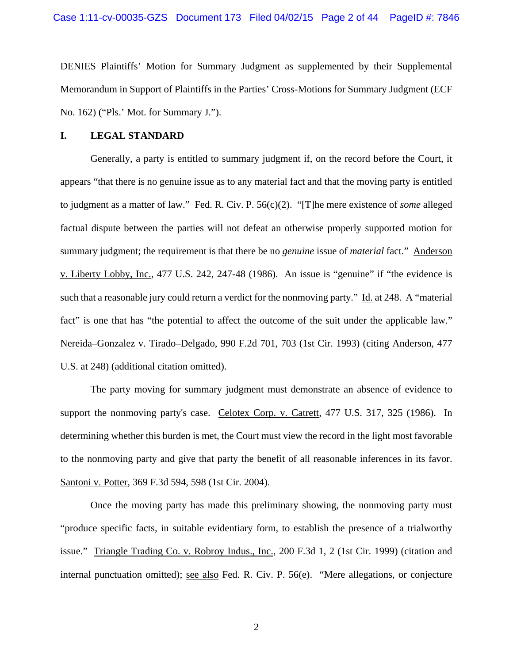DENIES Plaintiffs' Motion for Summary Judgment as supplemented by their Supplemental Memorandum in Support of Plaintiffs in the Parties' Cross-Motions for Summary Judgment (ECF No. 162) ("Pls.' Mot. for Summary J.").

#### **I. LEGAL STANDARD**

 Generally, a party is entitled to summary judgment if, on the record before the Court, it appears "that there is no genuine issue as to any material fact and that the moving party is entitled to judgment as a matter of law." Fed. R. Civ. P. 56(c)(2). "[T]he mere existence of *some* alleged factual dispute between the parties will not defeat an otherwise properly supported motion for summary judgment; the requirement is that there be no *genuine* issue of *material* fact." Anderson v. Liberty Lobby, Inc., 477 U.S. 242, 247-48 (1986). An issue is "genuine" if "the evidence is such that a reasonable jury could return a verdict for the nonmoving party." Id. at 248. A "material fact" is one that has "the potential to affect the outcome of the suit under the applicable law." Nereida–Gonzalez v. Tirado–Delgado, 990 F.2d 701, 703 (1st Cir. 1993) (citing Anderson*,* 477 U.S. at 248) (additional citation omitted).

 The party moving for summary judgment must demonstrate an absence of evidence to support the nonmoving party's case. Celotex Corp. v. Catrett*,* 477 U.S. 317, 325 (1986). In determining whether this burden is met, the Court must view the record in the light most favorable to the nonmoving party and give that party the benefit of all reasonable inferences in its favor. Santoni v. Potter, 369 F.3d 594, 598 (1st Cir. 2004).

 Once the moving party has made this preliminary showing, the nonmoving party must "produce specific facts, in suitable evidentiary form, to establish the presence of a trialworthy issue." Triangle Trading Co. v. Robroy Indus., Inc., 200 F.3d 1, 2 (1st Cir. 1999) (citation and internal punctuation omitted); see also Fed. R. Civ. P. 56(e). "Mere allegations, or conjecture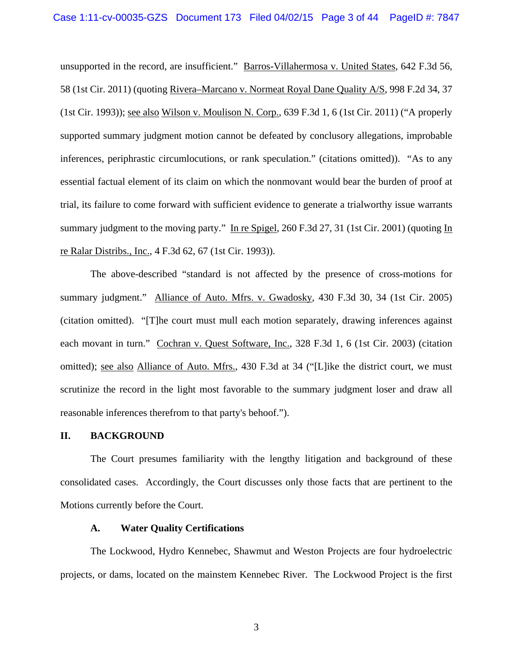unsupported in the record, are insufficient." Barros-Villahermosa v. United States, 642 F.3d 56, 58 (1st Cir. 2011) (quoting Rivera–Marcano v. Normeat Royal Dane Quality A/S, 998 F.2d 34, 37 (1st Cir. 1993)); see also Wilson v. Moulison N. Corp., 639 F.3d 1, 6 (1st Cir. 2011) ("A properly supported summary judgment motion cannot be defeated by conclusory allegations, improbable inferences, periphrastic circumlocutions, or rank speculation." (citations omitted)). "As to any essential factual element of its claim on which the nonmovant would bear the burden of proof at trial, its failure to come forward with sufficient evidence to generate a trialworthy issue warrants summary judgment to the moving party." In re Spigel, 260 F.3d 27, 31 (1st Cir. 2001) (quoting In re Ralar Distribs., Inc., 4 F.3d 62, 67 (1st Cir. 1993)).

 The above-described "standard is not affected by the presence of cross-motions for summary judgment." Alliance of Auto. Mfrs. v. Gwadosky, 430 F.3d 30, 34 (1st Cir. 2005) (citation omitted). "[T]he court must mull each motion separately, drawing inferences against each movant in turn." Cochran v. Quest Software, Inc., 328 F.3d 1, 6 (1st Cir. 2003) (citation omitted); see also Alliance of Auto. Mfrs., 430 F.3d at 34 ("[L]ike the district court, we must scrutinize the record in the light most favorable to the summary judgment loser and draw all reasonable inferences therefrom to that party's behoof.").

#### **II. BACKGROUND**

 The Court presumes familiarity with the lengthy litigation and background of these consolidated cases. Accordingly, the Court discusses only those facts that are pertinent to the Motions currently before the Court.

#### **A. Water Quality Certifications**

The Lockwood, Hydro Kennebec, Shawmut and Weston Projects are four hydroelectric projects, or dams, located on the mainstem Kennebec River. The Lockwood Project is the first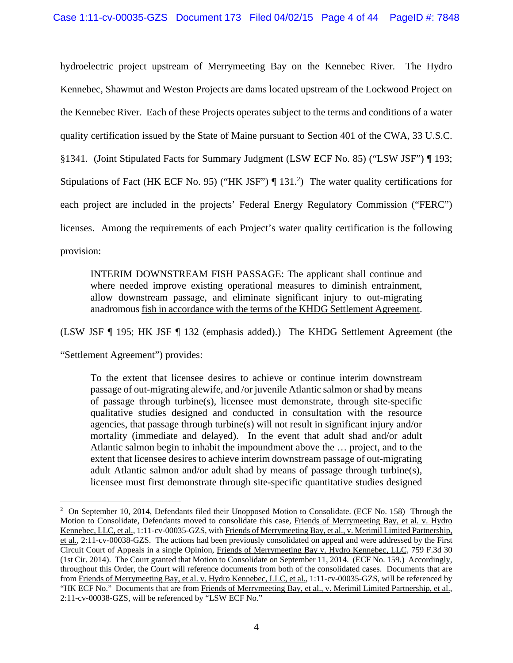hydroelectric project upstream of Merrymeeting Bay on the Kennebec River. The Hydro Kennebec, Shawmut and Weston Projects are dams located upstream of the Lockwood Project on the Kennebec River. Each of these Projects operates subject to the terms and conditions of a water quality certification issued by the State of Maine pursuant to Section 401 of the CWA, 33 U.S.C. §1341. (Joint Stipulated Facts for Summary Judgment (LSW ECF No. 85) ("LSW JSF") ¶ 193; Stipulations of Fact (HK ECF No. 95) ("HK JSF")  $\P$  131.<sup>2</sup>) The water quality certifications for each project are included in the projects' Federal Energy Regulatory Commission ("FERC") licenses. Among the requirements of each Project's water quality certification is the following provision:

INTERIM DOWNSTREAM FISH PASSAGE: The applicant shall continue and where needed improve existing operational measures to diminish entrainment, allow downstream passage, and eliminate significant injury to out-migrating anadromous fish in accordance with the terms of the KHDG Settlement Agreement.

(LSW JSF ¶ 195; HK JSF ¶ 132 (emphasis added).) The KHDG Settlement Agreement (the

"Settlement Agreement") provides:

1

To the extent that licensee desires to achieve or continue interim downstream passage of out-migrating alewife, and /or juvenile Atlantic salmon or shad by means of passage through turbine(s), licensee must demonstrate, through site-specific qualitative studies designed and conducted in consultation with the resource agencies, that passage through turbine(s) will not result in significant injury and/or mortality (immediate and delayed). In the event that adult shad and/or adult Atlantic salmon begin to inhabit the impoundment above the … project, and to the extent that licensee desires to achieve interim downstream passage of out-migrating adult Atlantic salmon and/or adult shad by means of passage through turbine(s), licensee must first demonstrate through site-specific quantitative studies designed

<sup>&</sup>lt;sup>2</sup> On September 10, 2014, Defendants filed their Unopposed Motion to Consolidate. (ECF No. 158) Through the Motion to Consolidate, Defendants moved to consolidate this case, Friends of Merrymeeting Bay, et al. v. Hydro Kennebec, LLC, et al., 1:11-cv-00035-GZS, with Friends of Merrymeeting Bay, et al., v. Merimil Limited Partnership, et al., 2:11-cv-00038-GZS. The actions had been previously consolidated on appeal and were addressed by the First Circuit Court of Appeals in a single Opinion, Friends of Merrymeeting Bay v. Hydro Kennebec, LLC, 759 F.3d 30 (1st Cir. 2014). The Court granted that Motion to Consolidate on September 11, 2014. (ECF No. 159.) Accordingly, throughout this Order, the Court will reference documents from both of the consolidated cases. Documents that are from Friends of Merrymeeting Bay, et al. v. Hydro Kennebec, LLC, et al., 1:11-cv-00035-GZS, will be referenced by "HK ECF No." Documents that are from Friends of Merrymeeting Bay, et al., v. Merimil Limited Partnership, et al., 2:11-cv-00038-GZS, will be referenced by "LSW ECF No."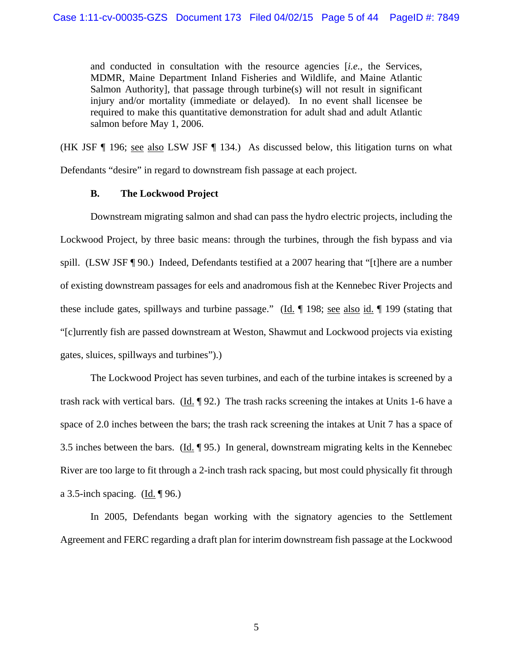and conducted in consultation with the resource agencies [*i.e.*, the Services, MDMR, Maine Department Inland Fisheries and Wildlife, and Maine Atlantic Salmon Authority], that passage through turbine(s) will not result in significant injury and/or mortality (immediate or delayed). In no event shall licensee be required to make this quantitative demonstration for adult shad and adult Atlantic salmon before May 1, 2006.

(HK JSF ¶ 196; see also LSW JSF ¶ 134.) As discussed below, this litigation turns on what Defendants "desire" in regard to downstream fish passage at each project.

### **B. The Lockwood Project**

Downstream migrating salmon and shad can pass the hydro electric projects, including the Lockwood Project, by three basic means: through the turbines, through the fish bypass and via spill. (LSW JSF ¶ 90.) Indeed, Defendants testified at a 2007 hearing that "[t]here are a number of existing downstream passages for eels and anadromous fish at the Kennebec River Projects and these include gates, spillways and turbine passage." (Id. ¶ 198; see also id. ¶ 199 (stating that "[c]urrently fish are passed downstream at Weston, Shawmut and Lockwood projects via existing gates, sluices, spillways and turbines").)

The Lockwood Project has seven turbines, and each of the turbine intakes is screened by a trash rack with vertical bars. (Id. ¶ 92.) The trash racks screening the intakes at Units 1-6 have a space of 2.0 inches between the bars; the trash rack screening the intakes at Unit 7 has a space of 3.5 inches between the bars. (Id. ¶ 95.) In general, downstream migrating kelts in the Kennebec River are too large to fit through a 2-inch trash rack spacing, but most could physically fit through a 3.5-inch spacing. (Id.  $\P$ 96.)

In 2005, Defendants began working with the signatory agencies to the Settlement Agreement and FERC regarding a draft plan for interim downstream fish passage at the Lockwood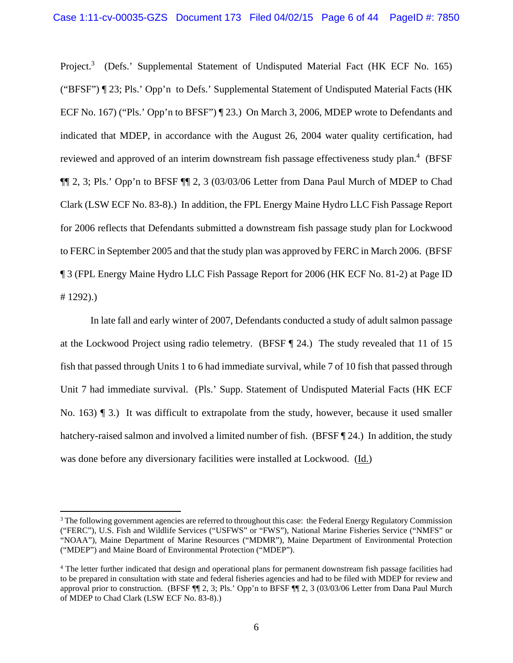Project.<sup>3</sup> (Defs.' Supplemental Statement of Undisputed Material Fact (HK ECF No. 165) ("BFSF") ¶ 23; Pls.' Opp'n to Defs.' Supplemental Statement of Undisputed Material Facts (HK ECF No. 167) ("Pls.' Opp'n to BFSF") [23.) On March 3, 2006, MDEP wrote to Defendants and indicated that MDEP, in accordance with the August 26, 2004 water quality certification, had reviewed and approved of an interim downstream fish passage effectiveness study plan.<sup>4</sup> (BFSF ¶¶ 2, 3; Pls.' Opp'n to BFSF ¶¶ 2, 3 (03/03/06 Letter from Dana Paul Murch of MDEP to Chad Clark (LSW ECF No. 83-8).) In addition, the FPL Energy Maine Hydro LLC Fish Passage Report for 2006 reflects that Defendants submitted a downstream fish passage study plan for Lockwood to FERC in September 2005 and that the study plan was approved by FERC in March 2006. (BFSF ¶ 3 (FPL Energy Maine Hydro LLC Fish Passage Report for 2006 (HK ECF No. 81-2) at Page ID # 1292).)

In late fall and early winter of 2007, Defendants conducted a study of adult salmon passage at the Lockwood Project using radio telemetry. (BFSF ¶ 24.) The study revealed that 11 of 15 fish that passed through Units 1 to 6 had immediate survival, while 7 of 10 fish that passed through Unit 7 had immediate survival. (Pls.' Supp. Statement of Undisputed Material Facts (HK ECF No. 163) **[115]** 3.) It was difficult to extrapolate from the study, however, because it used smaller hatchery-raised salmon and involved a limited number of fish. (BFSF [24.) In addition, the study was done before any diversionary facilities were installed at Lockwood. (Id.)

<sup>&</sup>lt;sup>3</sup> The following government agencies are referred to throughout this case: the Federal Energy Regulatory Commission ("FERC"), U.S. Fish and Wildlife Services ("USFWS" or "FWS"), National Marine Fisheries Service ("NMFS" or "NOAA"), Maine Department of Marine Resources ("MDMR"), Maine Department of Environmental Protection ("MDEP") and Maine Board of Environmental Protection ("MDEP").

<sup>&</sup>lt;sup>4</sup> The letter further indicated that design and operational plans for permanent downstream fish passage facilities had to be prepared in consultation with state and federal fisheries agencies and had to be filed with MDEP for review and approval prior to construction. (BFSF ¶¶ 2, 3; Pls.' Opp'n to BFSF ¶¶ 2, 3 (03/03/06 Letter from Dana Paul Murch of MDEP to Chad Clark (LSW ECF No. 83-8).)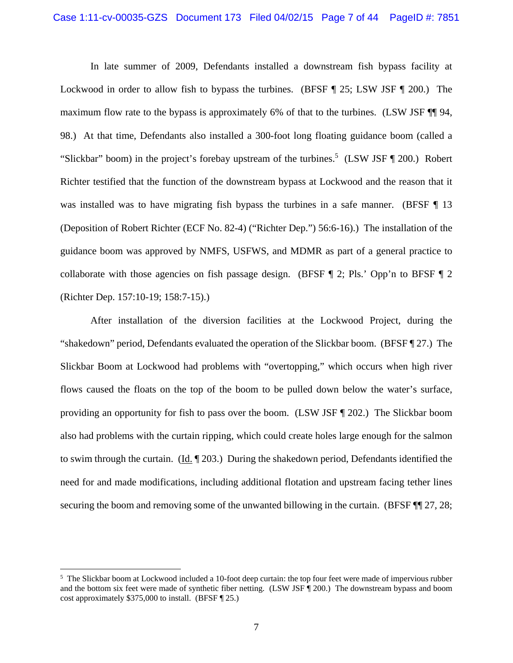In late summer of 2009, Defendants installed a downstream fish bypass facility at Lockwood in order to allow fish to bypass the turbines. (BFSF ¶ 25; LSW JSF ¶ 200.) The maximum flow rate to the bypass is approximately 6% of that to the turbines. (LSW JSF ¶ 94, 98.) At that time, Defendants also installed a 300-foot long floating guidance boom (called a "Slickbar" boom) in the project's forebay upstream of the turbines.<sup>5</sup> (LSW JSF  $\P$  200.) Robert Richter testified that the function of the downstream bypass at Lockwood and the reason that it was installed was to have migrating fish bypass the turbines in a safe manner. (BFSF ¶ 13 (Deposition of Robert Richter (ECF No. 82-4) ("Richter Dep.") 56:6-16).) The installation of the guidance boom was approved by NMFS, USFWS, and MDMR as part of a general practice to collaborate with those agencies on fish passage design. (BFSF ¶ 2; Pls.' Opp'n to BFSF ¶ 2 (Richter Dep. 157:10-19; 158:7-15).)

After installation of the diversion facilities at the Lockwood Project, during the "shakedown" period, Defendants evaluated the operation of the Slickbar boom. (BFSF ¶ 27.) The Slickbar Boom at Lockwood had problems with "overtopping," which occurs when high river flows caused the floats on the top of the boom to be pulled down below the water's surface, providing an opportunity for fish to pass over the boom. (LSW JSF ¶ 202.) The Slickbar boom also had problems with the curtain ripping, which could create holes large enough for the salmon to swim through the curtain. (Id. ¶ 203.) During the shakedown period, Defendants identified the need for and made modifications, including additional flotation and upstream facing tether lines securing the boom and removing some of the unwanted billowing in the curtain. (BFSF  $\P$ ] 27, 28;

<sup>&</sup>lt;sup>5</sup> The Slickbar boom at Lockwood included a 10-foot deep curtain: the top four feet were made of impervious rubber and the bottom six feet were made of synthetic fiber netting. (LSW JSF ¶ 200.) The downstream bypass and boom cost approximately \$375,000 to install. (BFSF ¶ 25.)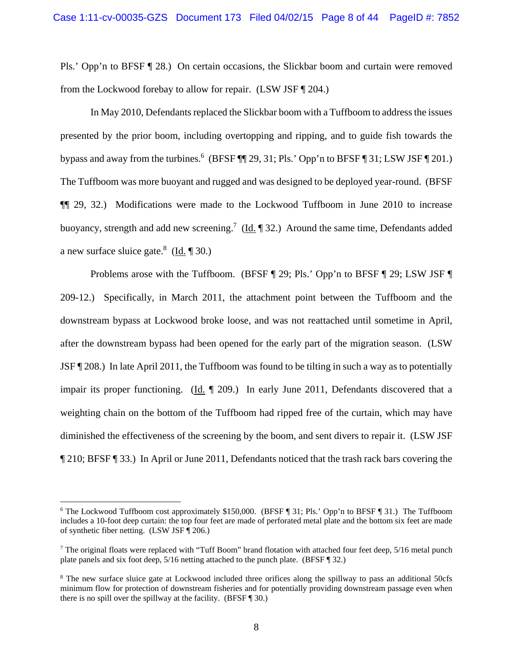Pls.' Opp'n to BFSF ¶ 28.) On certain occasions, the Slickbar boom and curtain were removed from the Lockwood forebay to allow for repair. (LSW JSF ¶ 204.)

In May 2010, Defendants replaced the Slickbar boom with a Tuffboom to address the issues presented by the prior boom, including overtopping and ripping, and to guide fish towards the bypass and away from the turbines.<sup>6</sup> (BFSF  $\P$ ] 29, 31; Pls.' Opp'n to BFSF  $\P$  31; LSW JSF  $\P$  201.) The Tuffboom was more buoyant and rugged and was designed to be deployed year-round. (BFSF ¶¶ 29, 32.) Modifications were made to the Lockwood Tuffboom in June 2010 to increase buoyancy, strength and add new screening.<sup>7</sup> (Id. 1 32.) Around the same time, Defendants added a new surface sluice gate.<sup>8</sup> (Id. 1 30.)

Problems arose with the Tuffboom. (BFSF ¶ 29; Pls.' Opp'n to BFSF ¶ 29; LSW JSF ¶ 209-12.) Specifically, in March 2011, the attachment point between the Tuffboom and the downstream bypass at Lockwood broke loose, and was not reattached until sometime in April, after the downstream bypass had been opened for the early part of the migration season. (LSW JSF ¶ 208.) In late April 2011, the Tuffboom was found to be tilting in such a way as to potentially impair its proper functioning. (Id.  $\parallel$  209.) In early June 2011, Defendants discovered that a weighting chain on the bottom of the Tuffboom had ripped free of the curtain, which may have diminished the effectiveness of the screening by the boom, and sent divers to repair it. (LSW JSF ¶ 210; BFSF ¶ 33.) In April or June 2011, Defendants noticed that the trash rack bars covering the

<sup>&</sup>lt;sup>6</sup> The Lockwood Tuffboom cost approximately \$150,000. (BFSF ¶ 31; Pls.' Opp'n to BFSF ¶ 31.) The Tuffboom includes a 10-foot deep curtain: the top four feet are made of perforated metal plate and the bottom six feet are made of synthetic fiber netting. (LSW JSF ¶ 206.)

<sup>&</sup>lt;sup>7</sup> The original floats were replaced with "Tuff Boom" brand flotation with attached four feet deep, 5/16 metal punch plate panels and six foot deep, 5/16 netting attached to the punch plate. (BFSF ¶ 32.)

<sup>&</sup>lt;sup>8</sup> The new surface sluice gate at Lockwood included three orifices along the spillway to pass an additional 50cfs minimum flow for protection of downstream fisheries and for potentially providing downstream passage even when there is no spill over the spillway at the facility. (BFSF ¶ 30.)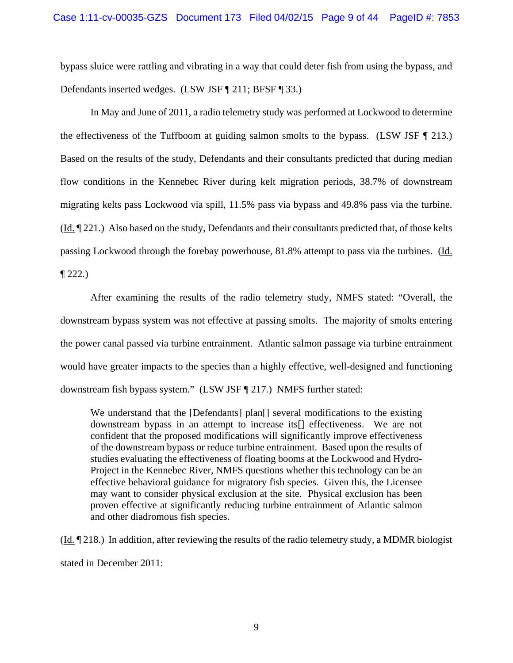bypass sluice were rattling and vibrating in a way that could deter fish from using the bypass, and Defendants inserted wedges. (LSW JSF ¶ 211; BFSF ¶ 33.)

In May and June of 2011, a radio telemetry study was performed at Lockwood to determine the effectiveness of the Tuffboom at guiding salmon smolts to the bypass. (LSW JSF ¶ 213.) Based on the results of the study, Defendants and their consultants predicted that during median flow conditions in the Kennebec River during kelt migration periods, 38.7% of downstream migrating kelts pass Lockwood via spill, 11.5% pass via bypass and 49.8% pass via the turbine. (Id. ¶ 221.) Also based on the study, Defendants and their consultants predicted that, of those kelts passing Lockwood through the forebay powerhouse, 81.8% attempt to pass via the turbines. (Id.  $\P$  222.)

After examining the results of the radio telemetry study, NMFS stated: "Overall, the downstream bypass system was not effective at passing smolts. The majority of smolts entering the power canal passed via turbine entrainment. Atlantic salmon passage via turbine entrainment would have greater impacts to the species than a highly effective, well-designed and functioning downstream fish bypass system." (LSW JSF ¶ 217.) NMFS further stated:

We understand that the [Defendants] plan[] several modifications to the existing downstream bypass in an attempt to increase its[] effectiveness. We are not confident that the proposed modifications will significantly improve effectiveness of the downstream bypass or reduce turbine entrainment. Based upon the results of studies evaluating the effectiveness of floating booms at the Lockwood and Hydro-Project in the Kennebec River, NMFS questions whether this technology can be an effective behavioral guidance for migratory fish species. Given this, the Licensee may want to consider physical exclusion at the site. Physical exclusion has been proven effective at significantly reducing turbine entrainment of Atlantic salmon and other diadromous fish species.

(Id. ¶ 218.) In addition, after reviewing the results of the radio telemetry study, a MDMR biologist stated in December 2011: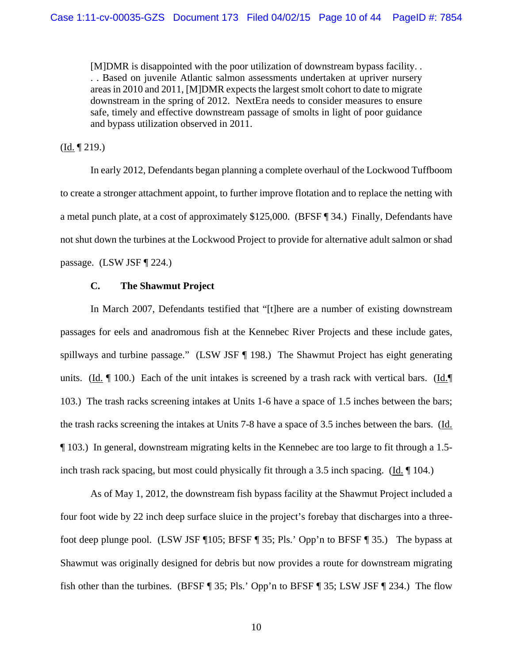[M]DMR is disappointed with the poor utilization of downstream bypass facility. . . . Based on juvenile Atlantic salmon assessments undertaken at upriver nursery areas in 2010 and 2011, [M]DMR expects the largest smolt cohort to date to migrate downstream in the spring of 2012. NextEra needs to consider measures to ensure safe, timely and effective downstream passage of smolts in light of poor guidance and bypass utilization observed in 2011.

 $(\underline{Id.} \P 219.)$ 

In early 2012, Defendants began planning a complete overhaul of the Lockwood Tuffboom to create a stronger attachment appoint, to further improve flotation and to replace the netting with a metal punch plate, at a cost of approximately \$125,000. (BFSF ¶ 34.) Finally, Defendants have not shut down the turbines at the Lockwood Project to provide for alternative adult salmon or shad passage. (LSW JSF ¶ 224.)

#### **C. The Shawmut Project**

In March 2007, Defendants testified that "[t]here are a number of existing downstream passages for eels and anadromous fish at the Kennebec River Projects and these include gates, spillways and turbine passage." (LSW JSF ¶ 198.) The Shawmut Project has eight generating units. (Id.  $\P$  100.) Each of the unit intakes is screened by a trash rack with vertical bars. (Id. $\P$ 103.) The trash racks screening intakes at Units 1-6 have a space of 1.5 inches between the bars; the trash racks screening the intakes at Units 7-8 have a space of 3.5 inches between the bars. (Id. ¶ 103.) In general, downstream migrating kelts in the Kennebec are too large to fit through a 1.5 inch trash rack spacing, but most could physically fit through a 3.5 inch spacing. (Id. ¶ 104.)

As of May 1, 2012, the downstream fish bypass facility at the Shawmut Project included a four foot wide by 22 inch deep surface sluice in the project's forebay that discharges into a threefoot deep plunge pool. (LSW JSF ¶105; BFSF ¶ 35; Pls.' Opp'n to BFSF ¶ 35.) The bypass at Shawmut was originally designed for debris but now provides a route for downstream migrating fish other than the turbines. (BFSF ¶ 35; Pls.' Opp'n to BFSF ¶ 35; LSW JSF ¶ 234.) The flow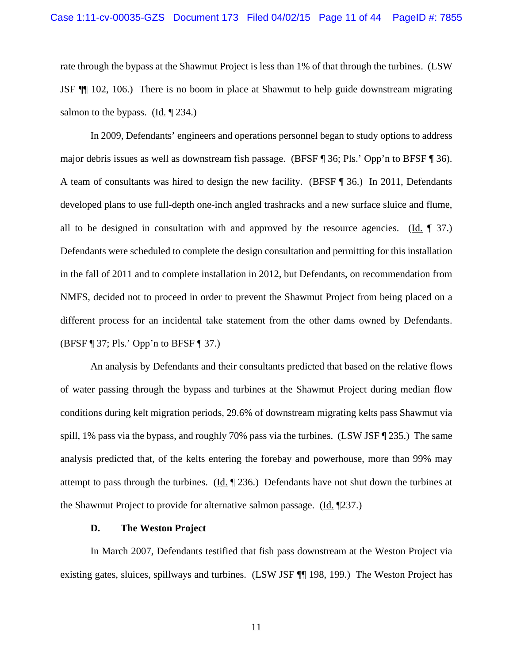rate through the bypass at the Shawmut Project is less than 1% of that through the turbines. (LSW JSF ¶¶ 102, 106.) There is no boom in place at Shawmut to help guide downstream migrating salmon to the bypass. (Id.  $\P$  234.)

In 2009, Defendants' engineers and operations personnel began to study options to address major debris issues as well as downstream fish passage. (BFSF ¶ 36; Pls.' Opp'n to BFSF ¶ 36). A team of consultants was hired to design the new facility. (BFSF ¶ 36.) In 2011, Defendants developed plans to use full-depth one-inch angled trashracks and a new surface sluice and flume, all to be designed in consultation with and approved by the resource agencies. (Id.  $\parallel$  37.) Defendants were scheduled to complete the design consultation and permitting for this installation in the fall of 2011 and to complete installation in 2012, but Defendants, on recommendation from NMFS, decided not to proceed in order to prevent the Shawmut Project from being placed on a different process for an incidental take statement from the other dams owned by Defendants. (BFSF ¶ 37; Pls.' Opp'n to BFSF ¶ 37.)

An analysis by Defendants and their consultants predicted that based on the relative flows of water passing through the bypass and turbines at the Shawmut Project during median flow conditions during kelt migration periods, 29.6% of downstream migrating kelts pass Shawmut via spill, 1% pass via the bypass, and roughly 70% pass via the turbines. (LSW JSF ¶ 235.) The same analysis predicted that, of the kelts entering the forebay and powerhouse, more than 99% may attempt to pass through the turbines. (Id.  $\parallel$  236.) Defendants have not shut down the turbines at the Shawmut Project to provide for alternative salmon passage. (Id. ¶237.)

#### **D. The Weston Project**

In March 2007, Defendants testified that fish pass downstream at the Weston Project via existing gates, sluices, spillways and turbines. (LSW JSF ¶¶ 198, 199.) The Weston Project has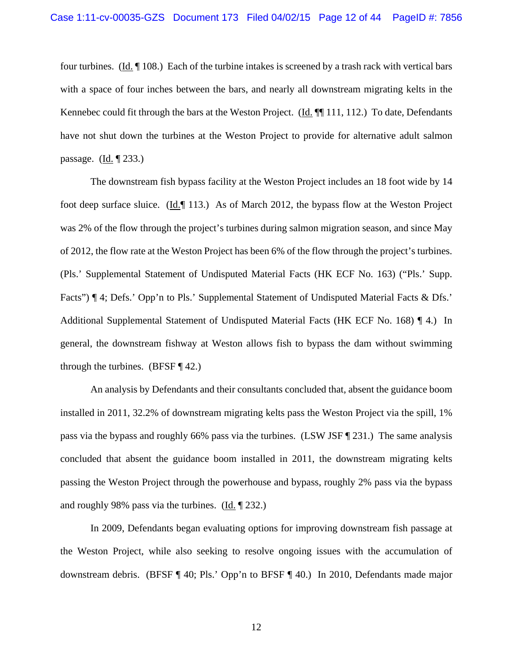four turbines. (Id. ¶ 108.) Each of the turbine intakes is screened by a trash rack with vertical bars with a space of four inches between the bars, and nearly all downstream migrating kelts in the Kennebec could fit through the bars at the Weston Project. (Id. ¶[111, 112.) To date, Defendants have not shut down the turbines at the Weston Project to provide for alternative adult salmon passage. (Id. ¶ 233.)

The downstream fish bypass facility at the Weston Project includes an 18 foot wide by 14 foot deep surface sluice. (Id.¶ 113.) As of March 2012, the bypass flow at the Weston Project was 2% of the flow through the project's turbines during salmon migration season, and since May of 2012, the flow rate at the Weston Project has been 6% of the flow through the project's turbines. (Pls.' Supplemental Statement of Undisputed Material Facts (HK ECF No. 163) ("Pls.' Supp. Facts") ¶ 4; Defs.' Opp'n to Pls.' Supplemental Statement of Undisputed Material Facts & Dfs.' Additional Supplemental Statement of Undisputed Material Facts (HK ECF No. 168) ¶ 4.) In general, the downstream fishway at Weston allows fish to bypass the dam without swimming through the turbines. (BFSF  $\P$  42.)

An analysis by Defendants and their consultants concluded that, absent the guidance boom installed in 2011, 32.2% of downstream migrating kelts pass the Weston Project via the spill, 1% pass via the bypass and roughly 66% pass via the turbines. (LSW JSF ¶ 231.) The same analysis concluded that absent the guidance boom installed in 2011, the downstream migrating kelts passing the Weston Project through the powerhouse and bypass, roughly 2% pass via the bypass and roughly 98% pass via the turbines. (Id. ¶ 232.)

In 2009, Defendants began evaluating options for improving downstream fish passage at the Weston Project, while also seeking to resolve ongoing issues with the accumulation of downstream debris. (BFSF ¶ 40; Pls.' Opp'n to BFSF ¶ 40.) In 2010, Defendants made major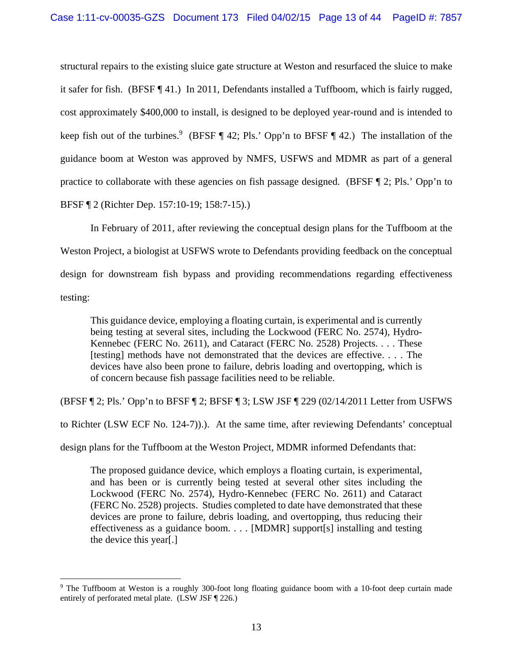structural repairs to the existing sluice gate structure at Weston and resurfaced the sluice to make it safer for fish. (BFSF ¶ 41.) In 2011, Defendants installed a Tuffboom, which is fairly rugged, cost approximately \$400,000 to install, is designed to be deployed year-round and is intended to keep fish out of the turbines.<sup>9</sup> (BFSF  $\P$  42; Pls.' Opp'n to BFSF  $\P$  42.) The installation of the guidance boom at Weston was approved by NMFS, USFWS and MDMR as part of a general practice to collaborate with these agencies on fish passage designed. (BFSF  $\P$  2; Pls.' Opp'n to BFSF ¶ 2 (Richter Dep. 157:10-19; 158:7-15).)

In February of 2011, after reviewing the conceptual design plans for the Tuffboom at the Weston Project, a biologist at USFWS wrote to Defendants providing feedback on the conceptual design for downstream fish bypass and providing recommendations regarding effectiveness testing:

This guidance device, employing a floating curtain, is experimental and is currently being testing at several sites, including the Lockwood (FERC No. 2574), Hydro-Kennebec (FERC No. 2611), and Cataract (FERC No. 2528) Projects. . . . These [testing] methods have not demonstrated that the devices are effective. . . . The devices have also been prone to failure, debris loading and overtopping, which is of concern because fish passage facilities need to be reliable.

(BFSF ¶ 2; Pls.' Opp'n to BFSF ¶ 2; BFSF ¶ 3; LSW JSF ¶ 229 (02/14/2011 Letter from USFWS

to Richter (LSW ECF No. 124-7)).). At the same time, after reviewing Defendants' conceptual

design plans for the Tuffboom at the Weston Project, MDMR informed Defendants that:

The proposed guidance device, which employs a floating curtain, is experimental, and has been or is currently being tested at several other sites including the Lockwood (FERC No. 2574), Hydro-Kennebec (FERC No. 2611) and Cataract (FERC No. 2528) projects. Studies completed to date have demonstrated that these devices are prone to failure, debris loading, and overtopping, thus reducing their effectiveness as a guidance boom. . . . [MDMR] support[s] installing and testing the device this year[.]

<sup>9</sup> The Tuffboom at Weston is a roughly 300-foot long floating guidance boom with a 10-foot deep curtain made entirely of perforated metal plate. (LSW JSF ¶ 226.)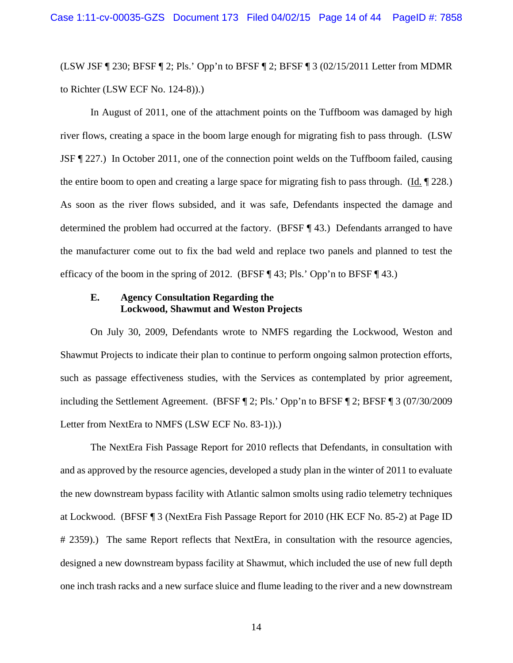(LSW JSF ¶ 230; BFSF ¶ 2; Pls.' Opp'n to BFSF ¶ 2; BFSF ¶ 3 (02/15/2011 Letter from MDMR to Richter (LSW ECF No. 124-8)).)

In August of 2011, one of the attachment points on the Tuffboom was damaged by high river flows, creating a space in the boom large enough for migrating fish to pass through. (LSW JSF ¶ 227.) In October 2011, one of the connection point welds on the Tuffboom failed, causing the entire boom to open and creating a large space for migrating fish to pass through. (Id. ¶ 228.) As soon as the river flows subsided, and it was safe, Defendants inspected the damage and determined the problem had occurred at the factory. (BFSF ¶ 43.) Defendants arranged to have the manufacturer come out to fix the bad weld and replace two panels and planned to test the efficacy of the boom in the spring of 2012. (BFSF  $\P$  43; Pls.' Opp'n to BFSF  $\P$  43.)

### **E. Agency Consultation Regarding the Lockwood, Shawmut and Weston Projects**

On July 30, 2009, Defendants wrote to NMFS regarding the Lockwood, Weston and Shawmut Projects to indicate their plan to continue to perform ongoing salmon protection efforts, such as passage effectiveness studies, with the Services as contemplated by prior agreement, including the Settlement Agreement. (BFSF ¶ 2; Pls.' Opp'n to BFSF ¶ 2; BFSF ¶ 3 (07/30/2009 Letter from NextEra to NMFS (LSW ECF No. 83-1)).)

The NextEra Fish Passage Report for 2010 reflects that Defendants, in consultation with and as approved by the resource agencies, developed a study plan in the winter of 2011 to evaluate the new downstream bypass facility with Atlantic salmon smolts using radio telemetry techniques at Lockwood. (BFSF ¶ 3 (NextEra Fish Passage Report for 2010 (HK ECF No. 85-2) at Page ID # 2359).) The same Report reflects that NextEra, in consultation with the resource agencies, designed a new downstream bypass facility at Shawmut, which included the use of new full depth one inch trash racks and a new surface sluice and flume leading to the river and a new downstream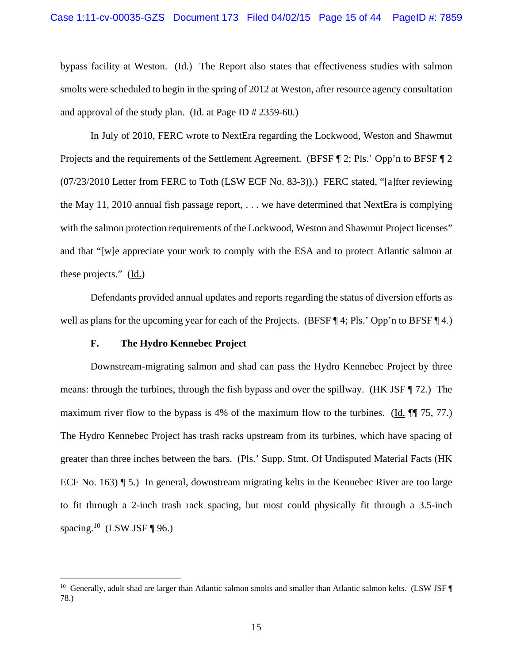bypass facility at Weston. (Id.) The Report also states that effectiveness studies with salmon smolts were scheduled to begin in the spring of 2012 at Weston, after resource agency consultation and approval of the study plan. ( $\underline{Id}$  at Page ID # 2359-60.)

In July of 2010, FERC wrote to NextEra regarding the Lockwood, Weston and Shawmut Projects and the requirements of the Settlement Agreement. (BFSF ¶ 2; Pls.' Opp'n to BFSF ¶ 2 (07/23/2010 Letter from FERC to Toth (LSW ECF No. 83-3)).) FERC stated, "[a]fter reviewing the May 11, 2010 annual fish passage report, . . . we have determined that NextEra is complying with the salmon protection requirements of the Lockwood, Weston and Shawmut Project licenses" and that "[w]e appreciate your work to comply with the ESA and to protect Atlantic salmon at these projects." (Id.)

Defendants provided annual updates and reports regarding the status of diversion efforts as well as plans for the upcoming year for each of the Projects. (BFSF ¶ 4; Pls.' Opp'n to BFSF ¶ 4.)

#### **F. The Hydro Kennebec Project**

 $\overline{a}$ 

Downstream-migrating salmon and shad can pass the Hydro Kennebec Project by three means: through the turbines, through the fish bypass and over the spillway. (HK JSF ¶ 72.) The maximum river flow to the bypass is 4% of the maximum flow to the turbines. (Id. ¶¶ 75, 77.) The Hydro Kennebec Project has trash racks upstream from its turbines, which have spacing of greater than three inches between the bars. (Pls.' Supp. Stmt. Of Undisputed Material Facts (HK ECF No. 163) ¶ 5.) In general, downstream migrating kelts in the Kennebec River are too large to fit through a 2-inch trash rack spacing, but most could physically fit through a 3.5-inch spacing.<sup>10</sup> (LSW JSF ¶ 96.)

<sup>&</sup>lt;sup>10</sup> Generally, adult shad are larger than Atlantic salmon smolts and smaller than Atlantic salmon kelts. (LSW JSF ¶ 78.)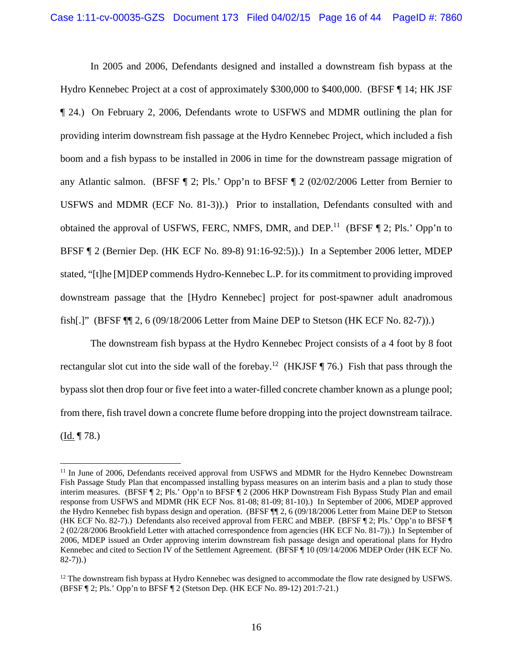In 2005 and 2006, Defendants designed and installed a downstream fish bypass at the Hydro Kennebec Project at a cost of approximately \$300,000 to \$400,000. (BFSF ¶ 14; HK JSF ¶ 24.) On February 2, 2006, Defendants wrote to USFWS and MDMR outlining the plan for providing interim downstream fish passage at the Hydro Kennebec Project, which included a fish boom and a fish bypass to be installed in 2006 in time for the downstream passage migration of any Atlantic salmon. (BFSF ¶ 2; Pls.' Opp'n to BFSF ¶ 2 (02/02/2006 Letter from Bernier to USFWS and MDMR (ECF No. 81-3)).) Prior to installation, Defendants consulted with and obtained the approval of USFWS, FERC, NMFS, DMR, and DEP.<sup>11</sup> (BFSF  $\P$  2; Pls.' Opp'n to BFSF ¶ 2 (Bernier Dep. (HK ECF No. 89-8) 91:16-92:5)).) In a September 2006 letter, MDEP stated, "[t]he [M]DEP commends Hydro-Kennebec L.P. for its commitment to providing improved downstream passage that the [Hydro Kennebec] project for post-spawner adult anadromous fish[.]" (BFSF ¶¶ 2, 6 (09/18/2006 Letter from Maine DEP to Stetson (HK ECF No. 82-7)).)

The downstream fish bypass at the Hydro Kennebec Project consists of a 4 foot by 8 foot rectangular slot cut into the side wall of the forebay.<sup>12</sup> (HKJSF  $\P$  76.) Fish that pass through the bypass slot then drop four or five feet into a water-filled concrete chamber known as a plunge pool; from there, fish travel down a concrete flume before dropping into the project downstream tailrace. (Id. ¶ 78.)

<sup>&</sup>lt;sup>11</sup> In June of 2006, Defendants received approval from USFWS and MDMR for the Hydro Kennebec Downstream Fish Passage Study Plan that encompassed installing bypass measures on an interim basis and a plan to study those interim measures. (BFSF ¶ 2; Pls.' Opp'n to BFSF ¶ 2 (2006 HKP Downstream Fish Bypass Study Plan and email response from USFWS and MDMR (HK ECF Nos. 81-08; 81-09; 81-10).) In September of 2006, MDEP approved the Hydro Kennebec fish bypass design and operation. (BFSF ¶¶ 2, 6 (09/18/2006 Letter from Maine DEP to Stetson (HK ECF No. 82-7).) Defendants also received approval from FERC and MBEP. (BFSF ¶ 2; Pls.' Opp'n to BFSF ¶ 2 (02/28/2006 Brookfield Letter with attached correspondence from agencies (HK ECF No. 81-7)).) In September of 2006, MDEP issued an Order approving interim downstream fish passage design and operational plans for Hydro Kennebec and cited to Section IV of the Settlement Agreement. (BFSF ¶ 10 (09/14/2006 MDEP Order (HK ECF No. 82-7)).)

<sup>&</sup>lt;sup>12</sup> The downstream fish bypass at Hydro Kennebec was designed to accommodate the flow rate designed by USFWS. (BFSF ¶ 2; Pls.' Opp'n to BFSF ¶ 2 (Stetson Dep. (HK ECF No. 89-12) 201:7-21.)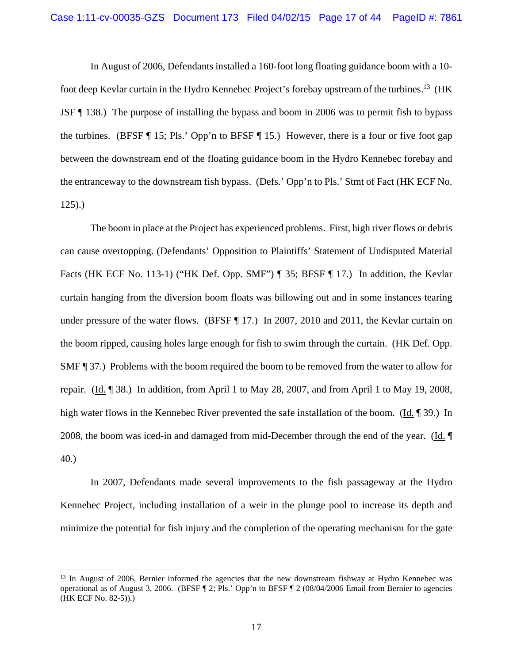In August of 2006, Defendants installed a 160-foot long floating guidance boom with a 10 foot deep Kevlar curtain in the Hydro Kennebec Project's forebay upstream of the turbines.13 (HK JSF ¶ 138.) The purpose of installing the bypass and boom in 2006 was to permit fish to bypass the turbines. (BFSF ¶ 15; Pls.' Opp'n to BFSF ¶ 15.) However, there is a four or five foot gap between the downstream end of the floating guidance boom in the Hydro Kennebec forebay and the entranceway to the downstream fish bypass. (Defs.' Opp'n to Pls.' Stmt of Fact (HK ECF No. 125).)

The boom in place at the Project has experienced problems. First, high river flows or debris can cause overtopping. (Defendants' Opposition to Plaintiffs' Statement of Undisputed Material Facts (HK ECF No. 113-1) ("HK Def. Opp. SMF") ¶ 35; BFSF ¶ 17.) In addition, the Kevlar curtain hanging from the diversion boom floats was billowing out and in some instances tearing under pressure of the water flows. (BFSF [ 17.) In 2007, 2010 and 2011, the Kevlar curtain on the boom ripped, causing holes large enough for fish to swim through the curtain. (HK Def. Opp. SMF ¶ 37.) Problems with the boom required the boom to be removed from the water to allow for repair. (Id. ¶ 38.) In addition, from April 1 to May 28, 2007, and from April 1 to May 19, 2008, high water flows in the Kennebec River prevented the safe installation of the boom. (Id. ¶ 39.) In 2008, the boom was iced-in and damaged from mid-December through the end of the year. (Id. ¶ 40.)

In 2007, Defendants made several improvements to the fish passageway at the Hydro Kennebec Project, including installation of a weir in the plunge pool to increase its depth and minimize the potential for fish injury and the completion of the operating mechanism for the gate

<sup>&</sup>lt;sup>13</sup> In August of 2006, Bernier informed the agencies that the new downstream fishway at Hydro Kennebec was operational as of August 3, 2006. (BFSF ¶ 2; Pls.' Opp'n to BFSF ¶ 2 (08/04/2006 Email from Bernier to agencies (HK ECF No. 82-5)).)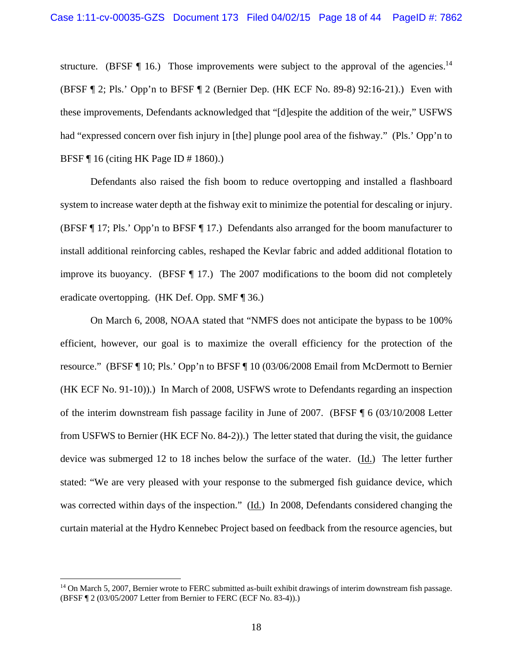structure. (BFSF  $\P$  16.) Those improvements were subject to the approval of the agencies.<sup>14</sup> (BFSF ¶ 2; Pls.' Opp'n to BFSF ¶ 2 (Bernier Dep. (HK ECF No. 89-8) 92:16-21).) Even with these improvements, Defendants acknowledged that "[d]espite the addition of the weir," USFWS had "expressed concern over fish injury in [the] plunge pool area of the fishway." (Pls.' Opp'n to BFSF ¶ 16 (citing HK Page ID # 1860).)

Defendants also raised the fish boom to reduce overtopping and installed a flashboard system to increase water depth at the fishway exit to minimize the potential for descaling or injury. (BFSF ¶ 17; Pls.' Opp'n to BFSF ¶ 17.) Defendants also arranged for the boom manufacturer to install additional reinforcing cables, reshaped the Kevlar fabric and added additional flotation to improve its buoyancy. (BFSF ¶ 17.) The 2007 modifications to the boom did not completely eradicate overtopping. (HK Def. Opp. SMF ¶ 36.)

On March 6, 2008, NOAA stated that "NMFS does not anticipate the bypass to be 100% efficient, however, our goal is to maximize the overall efficiency for the protection of the resource." (BFSF ¶ 10; Pls.' Opp'n to BFSF ¶ 10 (03/06/2008 Email from McDermott to Bernier (HK ECF No. 91-10)).) In March of 2008, USFWS wrote to Defendants regarding an inspection of the interim downstream fish passage facility in June of 2007. (BFSF ¶ 6 (03/10/2008 Letter from USFWS to Bernier (HK ECF No. 84-2)).) The letter stated that during the visit, the guidance device was submerged 12 to 18 inches below the surface of the water. (Id.) The letter further stated: "We are very pleased with your response to the submerged fish guidance device, which was corrected within days of the inspection." (Id.) In 2008, Defendants considered changing the curtain material at the Hydro Kennebec Project based on feedback from the resource agencies, but

<sup>&</sup>lt;sup>14</sup> On March 5, 2007, Bernier wrote to FERC submitted as-built exhibit drawings of interim downstream fish passage. (BFSF ¶ 2 (03/05/2007 Letter from Bernier to FERC (ECF No. 83-4)).)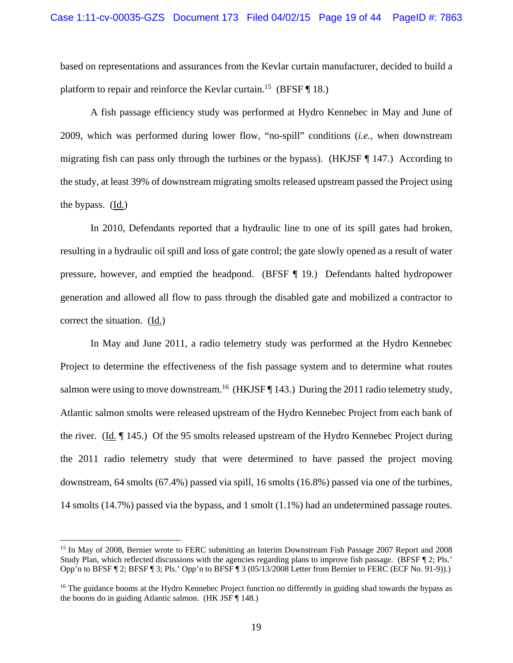based on representations and assurances from the Kevlar curtain manufacturer, decided to build a platform to repair and reinforce the Kevlar curtain.<sup>15</sup> (BFSF  $\P$  18.)

A fish passage efficiency study was performed at Hydro Kennebec in May and June of 2009, which was performed during lower flow, "no-spill" conditions (*i.e.*, when downstream migrating fish can pass only through the turbines or the bypass). (HKJSF  $\P$  147.) According to the study, at least 39% of downstream migrating smolts released upstream passed the Project using the bypass. (Id.)

In 2010, Defendants reported that a hydraulic line to one of its spill gates had broken, resulting in a hydraulic oil spill and loss of gate control; the gate slowly opened as a result of water pressure, however, and emptied the headpond. (BFSF ¶ 19.) Defendants halted hydropower generation and allowed all flow to pass through the disabled gate and mobilized a contractor to correct the situation. (Id.)

In May and June 2011, a radio telemetry study was performed at the Hydro Kennebec Project to determine the effectiveness of the fish passage system and to determine what routes salmon were using to move downstream.<sup>16</sup> (HKJSF  $\P$  143.) During the 2011 radio telemetry study, Atlantic salmon smolts were released upstream of the Hydro Kennebec Project from each bank of the river. (Id. ¶ 145.) Of the 95 smolts released upstream of the Hydro Kennebec Project during the 2011 radio telemetry study that were determined to have passed the project moving downstream, 64 smolts (67.4%) passed via spill, 16 smolts (16.8%) passed via one of the turbines, 14 smolts (14.7%) passed via the bypass, and 1 smolt (1.1%) had an undetermined passage routes.

<sup>15</sup> In May of 2008, Bernier wrote to FERC submitting an Interim Downstream Fish Passage 2007 Report and 2008 Study Plan, which reflected discussions with the agencies regarding plans to improve fish passage. (BFSF ¶ 2; Pls.' Opp'n to BFSF ¶ 2; BFSF ¶ 3; Pls.' Opp'n to BFSF ¶ 3 (05/13/2008 Letter from Bernier to FERC (ECF No. 91-9)).)

<sup>&</sup>lt;sup>16</sup> The guidance booms at the Hydro Kennebec Project function no differently in guiding shad towards the bypass as the booms do in guiding Atlantic salmon. (HK JSF ¶ 148.)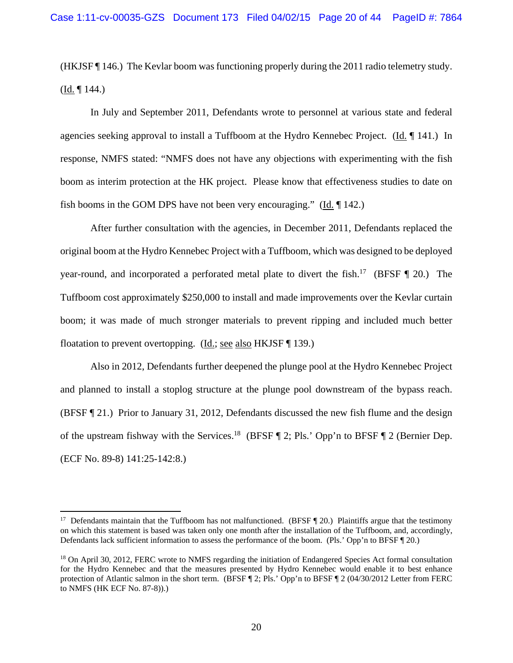(HKJSF ¶ 146.) The Kevlar boom was functioning properly during the 2011 radio telemetry study.  $(Id. \P 144.)$ 

In July and September 2011, Defendants wrote to personnel at various state and federal agencies seeking approval to install a Tuffboom at the Hydro Kennebec Project. (Id. ¶ 141.) In response, NMFS stated: "NMFS does not have any objections with experimenting with the fish boom as interim protection at the HK project. Please know that effectiveness studies to date on fish booms in the GOM DPS have not been very encouraging." (Id. ¶ 142.)

After further consultation with the agencies, in December 2011, Defendants replaced the original boom at the Hydro Kennebec Project with a Tuffboom, which was designed to be deployed year-round, and incorporated a perforated metal plate to divert the fish.<sup>17</sup> (BFSF  $\P$  20.) The Tuffboom cost approximately \$250,000 to install and made improvements over the Kevlar curtain boom; it was made of much stronger materials to prevent ripping and included much better floatation to prevent overtopping. (Id.; see also HKJSF ¶ 139.)

Also in 2012, Defendants further deepened the plunge pool at the Hydro Kennebec Project and planned to install a stoplog structure at the plunge pool downstream of the bypass reach. (BFSF ¶ 21.) Prior to January 31, 2012, Defendants discussed the new fish flume and the design of the upstream fishway with the Services.<sup>18</sup> (BFSF  $\P$  2; Pls.' Opp'n to BFSF  $\P$  2 (Bernier Dep. (ECF No. 89-8) 141:25-142:8.)

<sup>&</sup>lt;sup>17</sup> Defendants maintain that the Tuffboom has not malfunctioned. (BFSF  $\P$  20.) Plaintiffs argue that the testimony on which this statement is based was taken only one month after the installation of the Tuffboom, and, accordingly, Defendants lack sufficient information to assess the performance of the boom. (Pls.' Opp'n to BFSF ¶ 20.)

<sup>&</sup>lt;sup>18</sup> On April 30, 2012, FERC wrote to NMFS regarding the initiation of Endangered Species Act formal consultation for the Hydro Kennebec and that the measures presented by Hydro Kennebec would enable it to best enhance protection of Atlantic salmon in the short term. (BFSF ¶ 2; Pls.' Opp'n to BFSF ¶ 2 (04/30/2012 Letter from FERC to NMFS (HK ECF No. 87-8)).)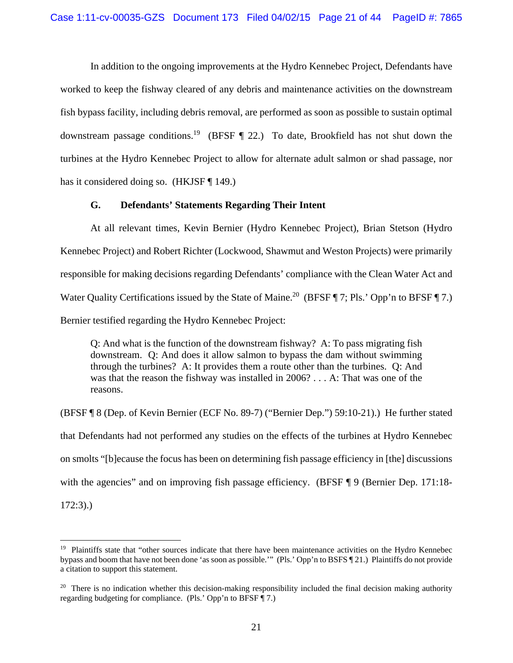In addition to the ongoing improvements at the Hydro Kennebec Project, Defendants have worked to keep the fishway cleared of any debris and maintenance activities on the downstream fish bypass facility, including debris removal, are performed as soon as possible to sustain optimal downstream passage conditions.<sup>19</sup> (BFSF  $\P$  22.) To date, Brookfield has not shut down the turbines at the Hydro Kennebec Project to allow for alternate adult salmon or shad passage, nor has it considered doing so. (HKJSF ¶ 149.)

# **G. Defendants' Statements Regarding Their Intent**

At all relevant times, Kevin Bernier (Hydro Kennebec Project), Brian Stetson (Hydro Kennebec Project) and Robert Richter (Lockwood, Shawmut and Weston Projects) were primarily responsible for making decisions regarding Defendants' compliance with the Clean Water Act and Water Quality Certifications issued by the State of Maine.<sup>20</sup> (BFSF  $\P$  7; Pls.' Opp'n to BFSF  $\P$  7.) Bernier testified regarding the Hydro Kennebec Project:

Q: And what is the function of the downstream fishway? A: To pass migrating fish downstream. Q: And does it allow salmon to bypass the dam without swimming through the turbines? A: It provides them a route other than the turbines. Q: And was that the reason the fishway was installed in 2006? . . . A: That was one of the reasons.

(BFSF ¶ 8 (Dep. of Kevin Bernier (ECF No. 89-7) ("Bernier Dep.") 59:10-21).) He further stated that Defendants had not performed any studies on the effects of the turbines at Hydro Kennebec on smolts "[b]ecause the focus has been on determining fish passage efficiency in [the] discussions with the agencies" and on improving fish passage efficiency. (BFSF ¶ 9 (Bernier Dep. 171:18-

172:3).)

<sup>&</sup>lt;sup>19</sup> Plaintiffs state that "other sources indicate that there have been maintenance activities on the Hydro Kennebec bypass and boom that have not been done 'as soon as possible.'" (Pls.' Opp'n to BSFS ¶ 21.) Plaintiffs do not provide a citation to support this statement.

 $20$  There is no indication whether this decision-making responsibility included the final decision making authority regarding budgeting for compliance. (Pls.' Opp'n to BFSF ¶ 7.)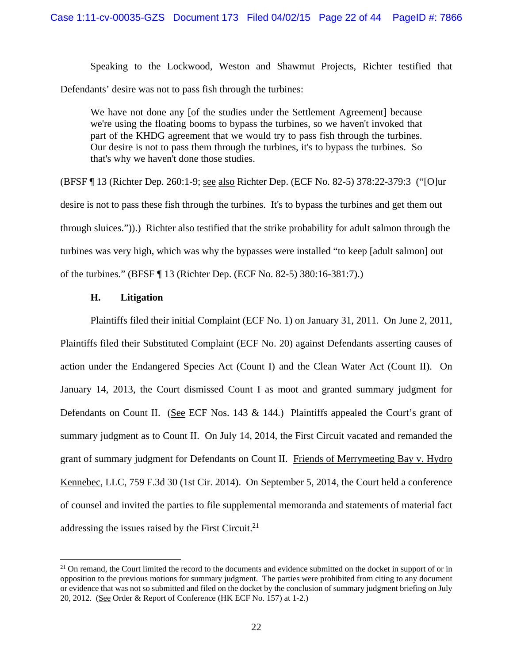Speaking to the Lockwood, Weston and Shawmut Projects, Richter testified that Defendants' desire was not to pass fish through the turbines:

We have not done any [of the studies under the Settlement Agreement] because we're using the floating booms to bypass the turbines, so we haven't invoked that part of the KHDG agreement that we would try to pass fish through the turbines. Our desire is not to pass them through the turbines, it's to bypass the turbines. So that's why we haven't done those studies.

(BFSF ¶ 13 (Richter Dep. 260:1-9; see also Richter Dep. (ECF No. 82-5) 378:22-379:3 ("[O]ur desire is not to pass these fish through the turbines. It's to bypass the turbines and get them out through sluices.")).) Richter also testified that the strike probability for adult salmon through the turbines was very high, which was why the bypasses were installed "to keep [adult salmon] out of the turbines." (BFSF ¶ 13 (Richter Dep. (ECF No. 82-5) 380:16-381:7).)

### **H. Litigation**

<u>.</u>

Plaintiffs filed their initial Complaint (ECF No. 1) on January 31, 2011. On June 2, 2011, Plaintiffs filed their Substituted Complaint (ECF No. 20) against Defendants asserting causes of action under the Endangered Species Act (Count I) and the Clean Water Act (Count II). On January 14, 2013, the Court dismissed Count I as moot and granted summary judgment for Defendants on Count II. (See ECF Nos. 143 & 144.) Plaintiffs appealed the Court's grant of summary judgment as to Count II. On July 14, 2014, the First Circuit vacated and remanded the grant of summary judgment for Defendants on Count II. Friends of Merrymeeting Bay v. Hydro Kennebec, LLC, 759 F.3d 30 (1st Cir. 2014). On September 5, 2014, the Court held a conference of counsel and invited the parties to file supplemental memoranda and statements of material fact addressing the issues raised by the First Circuit.<sup>21</sup>

 $21$  On remand, the Court limited the record to the documents and evidence submitted on the docket in support of or in opposition to the previous motions for summary judgment. The parties were prohibited from citing to any document or evidence that was not so submitted and filed on the docket by the conclusion of summary judgment briefing on July 20, 2012. (See Order & Report of Conference (HK ECF No. 157) at 1-2.)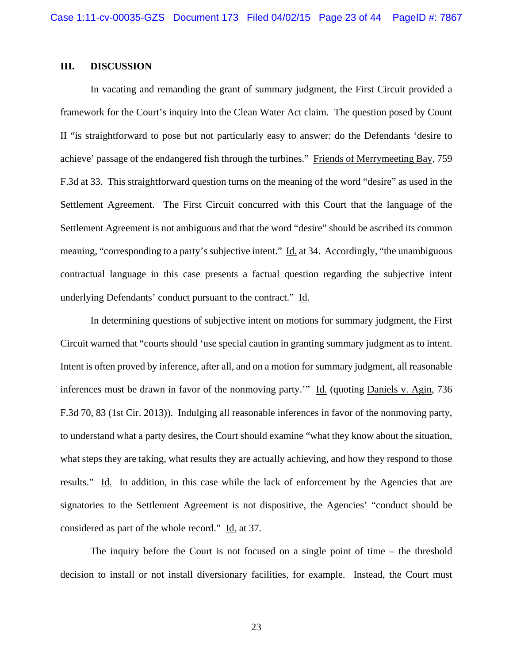# **III. DISCUSSION**

 In vacating and remanding the grant of summary judgment, the First Circuit provided a framework for the Court's inquiry into the Clean Water Act claim. The question posed by Count II "is straightforward to pose but not particularly easy to answer: do the Defendants 'desire to achieve' passage of the endangered fish through the turbines." Friends of Merrymeeting Bay, 759 F.3d at 33. This straightforward question turns on the meaning of the word "desire" as used in the Settlement Agreement. The First Circuit concurred with this Court that the language of the Settlement Agreement is not ambiguous and that the word "desire" should be ascribed its common meaning, "corresponding to a party's subjective intent." Id. at 34. Accordingly, "the unambiguous contractual language in this case presents a factual question regarding the subjective intent underlying Defendants' conduct pursuant to the contract." Id.

 In determining questions of subjective intent on motions for summary judgment, the First Circuit warned that "courts should 'use special caution in granting summary judgment as to intent. Intent is often proved by inference, after all, and on a motion for summary judgment, all reasonable inferences must be drawn in favor of the nonmoving party.'" Id. (quoting Daniels v. Agin, 736 F.3d 70, 83 (1st Cir. 2013)). Indulging all reasonable inferences in favor of the nonmoving party, to understand what a party desires, the Court should examine "what they know about the situation, what steps they are taking, what results they are actually achieving, and how they respond to those results." Id. In addition, in this case while the lack of enforcement by the Agencies that are signatories to the Settlement Agreement is not dispositive, the Agencies' "conduct should be considered as part of the whole record." Id. at 37.

 The inquiry before the Court is not focused on a single point of time – the threshold decision to install or not install diversionary facilities, for example. Instead, the Court must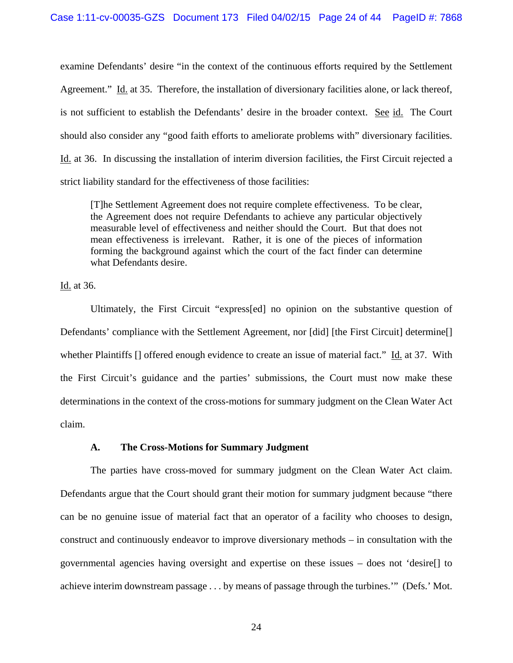examine Defendants' desire "in the context of the continuous efforts required by the Settlement Agreement." Id. at 35. Therefore, the installation of diversionary facilities alone, or lack thereof, is not sufficient to establish the Defendants' desire in the broader context. See id. The Court should also consider any "good faith efforts to ameliorate problems with" diversionary facilities. Id. at 36. In discussing the installation of interim diversion facilities, the First Circuit rejected a strict liability standard for the effectiveness of those facilities:

[T]he Settlement Agreement does not require complete effectiveness. To be clear, the Agreement does not require Defendants to achieve any particular objectively measurable level of effectiveness and neither should the Court. But that does not mean effectiveness is irrelevant. Rather, it is one of the pieces of information forming the background against which the court of the fact finder can determine what Defendants desire.

Id. at 36.

Ultimately, the First Circuit "express[ed] no opinion on the substantive question of Defendants' compliance with the Settlement Agreement, nor [did] [the First Circuit] determine<sup>[]</sup> whether Plaintiffs [] offered enough evidence to create an issue of material fact." Id. at 37. With the First Circuit's guidance and the parties' submissions, the Court must now make these determinations in the context of the cross-motions for summary judgment on the Clean Water Act claim.

# **A. The Cross-Motions for Summary Judgment**

 The parties have cross-moved for summary judgment on the Clean Water Act claim. Defendants argue that the Court should grant their motion for summary judgment because "there can be no genuine issue of material fact that an operator of a facility who chooses to design, construct and continuously endeavor to improve diversionary methods – in consultation with the governmental agencies having oversight and expertise on these issues – does not 'desire[] to achieve interim downstream passage . . . by means of passage through the turbines.'" (Defs.' Mot.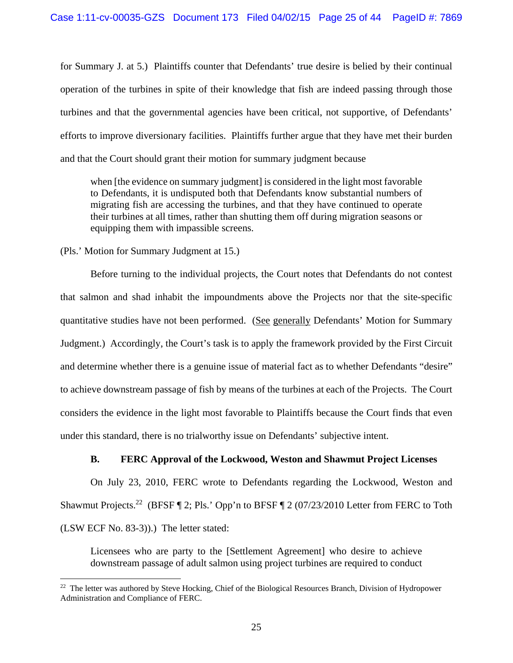for Summary J. at 5.) Plaintiffs counter that Defendants' true desire is belied by their continual operation of the turbines in spite of their knowledge that fish are indeed passing through those turbines and that the governmental agencies have been critical, not supportive, of Defendants' efforts to improve diversionary facilities. Plaintiffs further argue that they have met their burden and that the Court should grant their motion for summary judgment because

when [the evidence on summary judgment] is considered in the light most favorable to Defendants, it is undisputed both that Defendants know substantial numbers of migrating fish are accessing the turbines, and that they have continued to operate their turbines at all times, rather than shutting them off during migration seasons or equipping them with impassible screens.

(Pls.' Motion for Summary Judgment at 15.)

 $\overline{a}$ 

 Before turning to the individual projects, the Court notes that Defendants do not contest that salmon and shad inhabit the impoundments above the Projects nor that the site-specific quantitative studies have not been performed. (See generally Defendants' Motion for Summary Judgment.) Accordingly, the Court's task is to apply the framework provided by the First Circuit and determine whether there is a genuine issue of material fact as to whether Defendants "desire" to achieve downstream passage of fish by means of the turbines at each of the Projects. The Court considers the evidence in the light most favorable to Plaintiffs because the Court finds that even under this standard, there is no trialworthy issue on Defendants' subjective intent.

# **B. FERC Approval of the Lockwood, Weston and Shawmut Project Licenses**

On July 23, 2010, FERC wrote to Defendants regarding the Lockwood, Weston and Shawmut Projects.<sup>22</sup> (BFSF  $\P$  2; Pls.' Opp'n to BFSF  $\P$  2 (07/23/2010 Letter from FERC to Toth (LSW ECF No. 83-3)).) The letter stated:

Licensees who are party to the [Settlement Agreement] who desire to achieve downstream passage of adult salmon using project turbines are required to conduct

<sup>&</sup>lt;sup>22</sup> The letter was authored by Steve Hocking, Chief of the Biological Resources Branch, Division of Hydropower Administration and Compliance of FERC.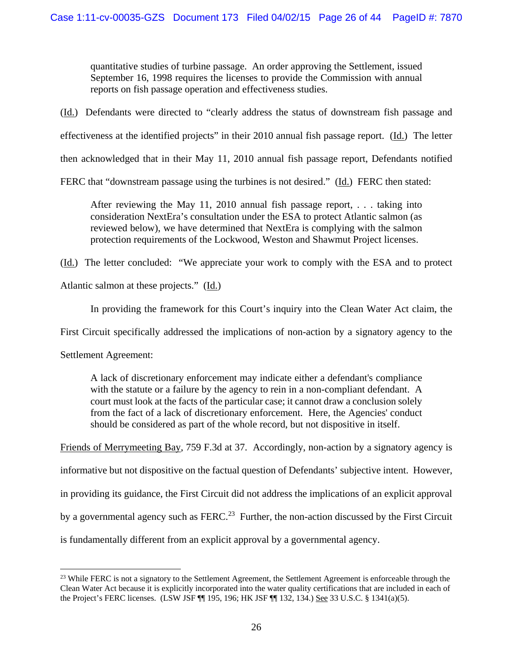quantitative studies of turbine passage. An order approving the Settlement, issued September 16, 1998 requires the licenses to provide the Commission with annual reports on fish passage operation and effectiveness studies.

(Id.) Defendants were directed to "clearly address the status of downstream fish passage and

effectiveness at the identified projects" in their 2010 annual fish passage report. (Id.) The letter

then acknowledged that in their May 11, 2010 annual fish passage report, Defendants notified

FERC that "downstream passage using the turbines is not desired." (Id.) FERC then stated:

After reviewing the May 11, 2010 annual fish passage report, . . . taking into consideration NextEra's consultation under the ESA to protect Atlantic salmon (as reviewed below), we have determined that NextEra is complying with the salmon protection requirements of the Lockwood, Weston and Shawmut Project licenses.

(Id.) The letter concluded: "We appreciate your work to comply with the ESA and to protect

Atlantic salmon at these projects." (Id.)

In providing the framework for this Court's inquiry into the Clean Water Act claim, the

First Circuit specifically addressed the implications of non-action by a signatory agency to the

Settlement Agreement:

 $\overline{a}$ 

A lack of discretionary enforcement may indicate either a defendant's compliance with the statute or a failure by the agency to rein in a non-compliant defendant. A court must look at the facts of the particular case; it cannot draw a conclusion solely from the fact of a lack of discretionary enforcement. Here, the Agencies' conduct should be considered as part of the whole record, but not dispositive in itself.

Friends of Merrymeeting Bay, 759 F.3d at 37. Accordingly, non-action by a signatory agency is

informative but not dispositive on the factual question of Defendants' subjective intent. However,

in providing its guidance, the First Circuit did not address the implications of an explicit approval

by a governmental agency such as  $FERC<sup>23</sup>$  Further, the non-action discussed by the First Circuit

is fundamentally different from an explicit approval by a governmental agency.

<sup>&</sup>lt;sup>23</sup> While FERC is not a signatory to the Settlement Agreement, the Settlement Agreement is enforceable through the Clean Water Act because it is explicitly incorporated into the water quality certifications that are included in each of the Project's FERC licenses. (LSW JSF ¶¶ 195, 196; HK JSF ¶¶ 132, 134.) See 33 U.S.C. § 1341(a)(5).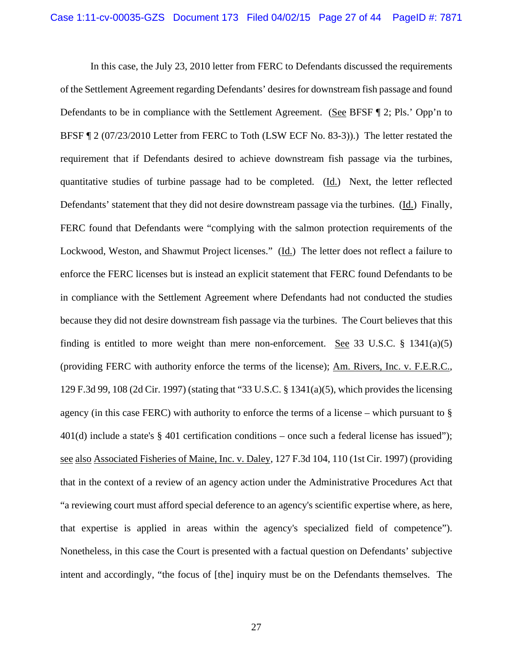In this case, the July 23, 2010 letter from FERC to Defendants discussed the requirements of the Settlement Agreement regarding Defendants' desires for downstream fish passage and found Defendants to be in compliance with the Settlement Agreement. (See BFSF ¶ 2; Pls.' Opp'n to BFSF ¶ 2 (07/23/2010 Letter from FERC to Toth (LSW ECF No. 83-3)).) The letter restated the requirement that if Defendants desired to achieve downstream fish passage via the turbines, quantitative studies of turbine passage had to be completed. (Id.) Next, the letter reflected Defendants' statement that they did not desire downstream passage via the turbines. (Id.) Finally, FERC found that Defendants were "complying with the salmon protection requirements of the Lockwood, Weston, and Shawmut Project licenses." (Id.) The letter does not reflect a failure to enforce the FERC licenses but is instead an explicit statement that FERC found Defendants to be in compliance with the Settlement Agreement where Defendants had not conducted the studies because they did not desire downstream fish passage via the turbines. The Court believes that this finding is entitled to more weight than mere non-enforcement. See 33 U.S.C.  $\S$  1341(a)(5) (providing FERC with authority enforce the terms of the license); Am. Rivers, Inc. v. F.E.R.C., 129 F.3d 99, 108 (2d Cir. 1997) (stating that "33 U.S.C. § 1341(a)(5), which provides the licensing agency (in this case FERC) with authority to enforce the terms of a license – which pursuant to § 401(d) include a state's  $\S$  401 certification conditions – once such a federal license has issued"); see also Associated Fisheries of Maine, Inc. v. Daley, 127 F.3d 104, 110 (1st Cir. 1997) (providing that in the context of a review of an agency action under the Administrative Procedures Act that "a reviewing court must afford special deference to an agency's scientific expertise where, as here, that expertise is applied in areas within the agency's specialized field of competence"). Nonetheless, in this case the Court is presented with a factual question on Defendants' subjective intent and accordingly, "the focus of [the] inquiry must be on the Defendants themselves. The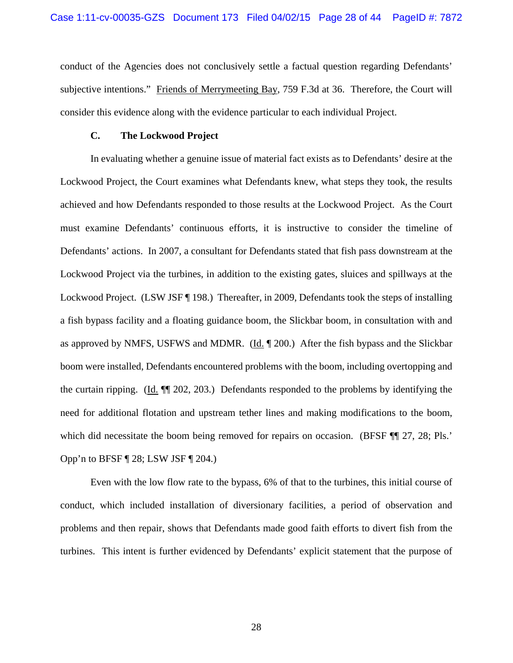conduct of the Agencies does not conclusively settle a factual question regarding Defendants' subjective intentions." Friends of Merrymeeting Bay, 759 F.3d at 36. Therefore, the Court will consider this evidence along with the evidence particular to each individual Project.

### **C. The Lockwood Project**

In evaluating whether a genuine issue of material fact exists as to Defendants' desire at the Lockwood Project, the Court examines what Defendants knew, what steps they took, the results achieved and how Defendants responded to those results at the Lockwood Project. As the Court must examine Defendants' continuous efforts, it is instructive to consider the timeline of Defendants' actions. In 2007, a consultant for Defendants stated that fish pass downstream at the Lockwood Project via the turbines, in addition to the existing gates, sluices and spillways at the Lockwood Project. (LSW JSF ¶ 198.) Thereafter, in 2009, Defendants took the steps of installing a fish bypass facility and a floating guidance boom, the Slickbar boom, in consultation with and as approved by NMFS, USFWS and MDMR. (Id. ¶ 200.) After the fish bypass and the Slickbar boom were installed, Defendants encountered problems with the boom, including overtopping and the curtain ripping. (Id. ¶¶ 202, 203.) Defendants responded to the problems by identifying the need for additional flotation and upstream tether lines and making modifications to the boom, which did necessitate the boom being removed for repairs on occasion. (BFSF ¶¶ 27, 28; Pls.' Opp'n to BFSF ¶ 28; LSW JSF ¶ 204.)

Even with the low flow rate to the bypass, 6% of that to the turbines, this initial course of conduct, which included installation of diversionary facilities, a period of observation and problems and then repair, shows that Defendants made good faith efforts to divert fish from the turbines. This intent is further evidenced by Defendants' explicit statement that the purpose of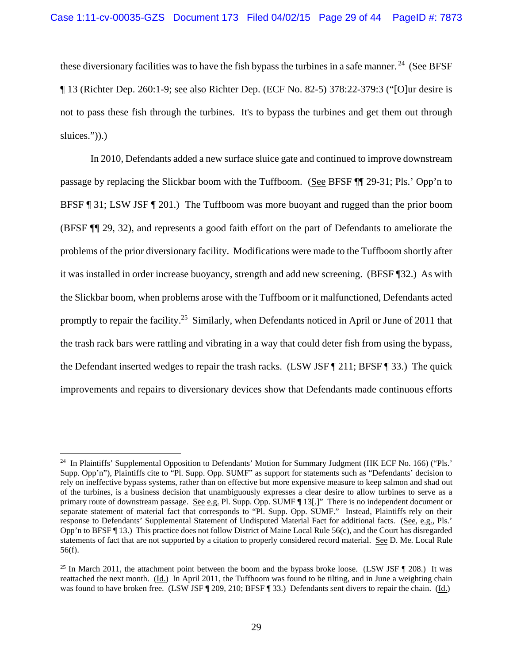these diversionary facilities was to have the fish bypass the turbines in a safe manner.<sup>24</sup> (See BFSF) ¶ 13 (Richter Dep. 260:1-9; see also Richter Dep. (ECF No. 82-5) 378:22-379:3 ("[O]ur desire is not to pass these fish through the turbines. It's to bypass the turbines and get them out through sluices.")).)

In 2010, Defendants added a new surface sluice gate and continued to improve downstream passage by replacing the Slickbar boom with the Tuffboom. (See BFSF ¶¶ 29-31; Pls.' Opp'n to BFSF ¶ 31; LSW JSF ¶ 201.) The Tuffboom was more buoyant and rugged than the prior boom (BFSF ¶¶ 29, 32), and represents a good faith effort on the part of Defendants to ameliorate the problems of the prior diversionary facility. Modifications were made to the Tuffboom shortly after it was installed in order increase buoyancy, strength and add new screening. (BFSF ¶32.) As with the Slickbar boom, when problems arose with the Tuffboom or it malfunctioned, Defendants acted promptly to repair the facility.<sup>25</sup> Similarly, when Defendants noticed in April or June of 2011 that the trash rack bars were rattling and vibrating in a way that could deter fish from using the bypass, the Defendant inserted wedges to repair the trash racks. (LSW JSF ¶ 211; BFSF ¶ 33.) The quick improvements and repairs to diversionary devices show that Defendants made continuous efforts

<sup>&</sup>lt;sup>24</sup> In Plaintiffs' Supplemental Opposition to Defendants' Motion for Summary Judgment (HK ECF No. 166) ("Pls.' Supp. Opp'n"), Plaintiffs cite to "Pl. Supp. Opp. SUMF" as support for statements such as "Defendants' decision to rely on ineffective bypass systems, rather than on effective but more expensive measure to keep salmon and shad out of the turbines, is a business decision that unambiguously expresses a clear desire to allow turbines to serve as a primary route of downstream passage. See e.g. Pl. Supp. Opp. SUMF ¶ 13[.]" There is no independent document or separate statement of material fact that corresponds to "Pl. Supp. Opp. SUMF." Instead, Plaintiffs rely on their response to Defendants' Supplemental Statement of Undisputed Material Fact for additional facts. (See, e.g., Pls.' Opp'n to BFSF ¶ 13.) This practice does not follow District of Maine Local Rule 56(c), and the Court has disregarded statements of fact that are not supported by a citation to properly considered record material. See D. Me. Local Rule 56(f).

<sup>&</sup>lt;sup>25</sup> In March 2011, the attachment point between the boom and the bypass broke loose. (LSW JSF  $\parallel$  208.) It was reattached the next month. (Id.) In April 2011, the Tuffboom was found to be tilting, and in June a weighting chain was found to have broken free. (LSW JSF ¶ 209, 210; BFSF ¶ 33.) Defendants sent divers to repair the chain. (Id.)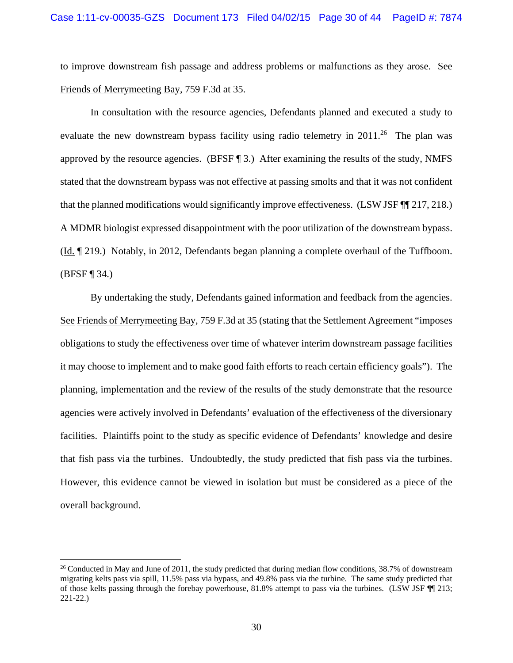to improve downstream fish passage and address problems or malfunctions as they arose. See Friends of Merrymeeting Bay, 759 F.3d at 35.

In consultation with the resource agencies, Defendants planned and executed a study to evaluate the new downstream bypass facility using radio telemetry in  $2011<sup>26</sup>$  The plan was approved by the resource agencies. (BFSF ¶ 3.) After examining the results of the study, NMFS stated that the downstream bypass was not effective at passing smolts and that it was not confident that the planned modifications would significantly improve effectiveness. (LSW JSF ¶¶ 217, 218.) A MDMR biologist expressed disappointment with the poor utilization of the downstream bypass. (Id. ¶ 219.) Notably, in 2012, Defendants began planning a complete overhaul of the Tuffboom. (BFSF ¶ 34.)

By undertaking the study, Defendants gained information and feedback from the agencies. See Friends of Merrymeeting Bay, 759 F.3d at 35 (stating that the Settlement Agreement "imposes obligations to study the effectiveness over time of whatever interim downstream passage facilities it may choose to implement and to make good faith efforts to reach certain efficiency goals"). The planning, implementation and the review of the results of the study demonstrate that the resource agencies were actively involved in Defendants' evaluation of the effectiveness of the diversionary facilities. Plaintiffs point to the study as specific evidence of Defendants' knowledge and desire that fish pass via the turbines. Undoubtedly, the study predicted that fish pass via the turbines. However, this evidence cannot be viewed in isolation but must be considered as a piece of the overall background.

<sup>&</sup>lt;sup>26</sup> Conducted in May and June of 2011, the study predicted that during median flow conditions,  $38.7\%$  of downstream migrating kelts pass via spill, 11.5% pass via bypass, and 49.8% pass via the turbine. The same study predicted that of those kelts passing through the forebay powerhouse, 81.8% attempt to pass via the turbines. (LSW JSF ¶¶ 213; 221-22.)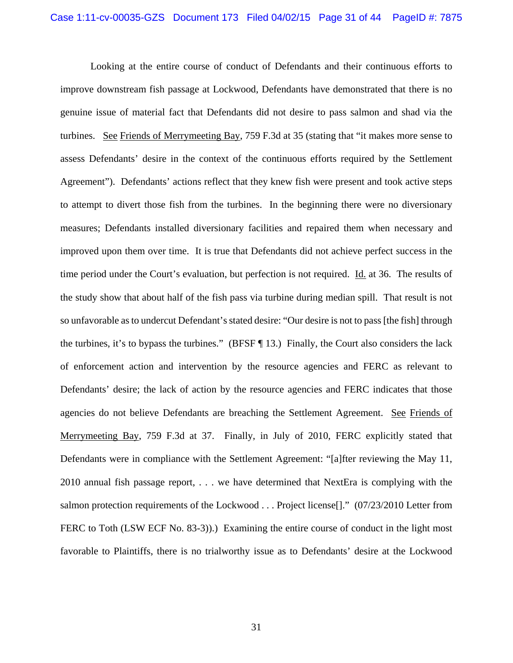Looking at the entire course of conduct of Defendants and their continuous efforts to improve downstream fish passage at Lockwood, Defendants have demonstrated that there is no genuine issue of material fact that Defendants did not desire to pass salmon and shad via the turbines. See Friends of Merrymeeting Bay, 759 F.3d at 35 (stating that "it makes more sense to assess Defendants' desire in the context of the continuous efforts required by the Settlement Agreement"). Defendants' actions reflect that they knew fish were present and took active steps to attempt to divert those fish from the turbines. In the beginning there were no diversionary measures; Defendants installed diversionary facilities and repaired them when necessary and improved upon them over time. It is true that Defendants did not achieve perfect success in the time period under the Court's evaluation, but perfection is not required. Id. at 36. The results of the study show that about half of the fish pass via turbine during median spill. That result is not so unfavorable as to undercut Defendant's stated desire: "Our desire is not to pass [the fish] through the turbines, it's to bypass the turbines." (BFSF ¶ 13.) Finally, the Court also considers the lack of enforcement action and intervention by the resource agencies and FERC as relevant to Defendants' desire; the lack of action by the resource agencies and FERC indicates that those agencies do not believe Defendants are breaching the Settlement Agreement. See Friends of Merrymeeting Bay, 759 F.3d at 37. Finally, in July of 2010, FERC explicitly stated that Defendants were in compliance with the Settlement Agreement: "[a]fter reviewing the May 11, 2010 annual fish passage report, . . . we have determined that NextEra is complying with the salmon protection requirements of the Lockwood . . . Project license[]." (07/23/2010 Letter from FERC to Toth (LSW ECF No. 83-3)).) Examining the entire course of conduct in the light most favorable to Plaintiffs, there is no trialworthy issue as to Defendants' desire at the Lockwood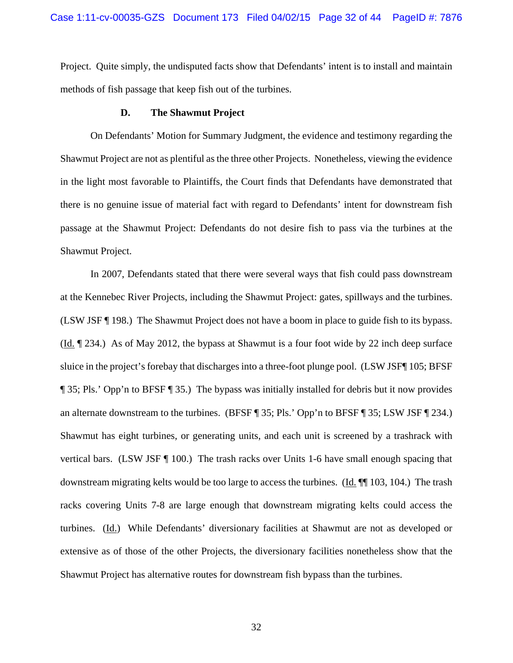Project. Quite simply, the undisputed facts show that Defendants' intent is to install and maintain methods of fish passage that keep fish out of the turbines.

### **D. The Shawmut Project**

On Defendants' Motion for Summary Judgment, the evidence and testimony regarding the Shawmut Project are not as plentiful as the three other Projects. Nonetheless, viewing the evidence in the light most favorable to Plaintiffs, the Court finds that Defendants have demonstrated that there is no genuine issue of material fact with regard to Defendants' intent for downstream fish passage at the Shawmut Project: Defendants do not desire fish to pass via the turbines at the Shawmut Project.

In 2007, Defendants stated that there were several ways that fish could pass downstream at the Kennebec River Projects, including the Shawmut Project: gates, spillways and the turbines. (LSW JSF ¶ 198.) The Shawmut Project does not have a boom in place to guide fish to its bypass. (Id. ¶ 234.) As of May 2012, the bypass at Shawmut is a four foot wide by 22 inch deep surface sluice in the project's forebay that discharges into a three-foot plunge pool. (LSW JSF¶ 105; BFSF ¶ 35; Pls.' Opp'n to BFSF ¶ 35.) The bypass was initially installed for debris but it now provides an alternate downstream to the turbines. (BFSF ¶ 35; Pls.' Opp'n to BFSF ¶ 35; LSW JSF ¶ 234.) Shawmut has eight turbines, or generating units, and each unit is screened by a trashrack with vertical bars. (LSW JSF ¶ 100.) The trash racks over Units 1-6 have small enough spacing that downstream migrating kelts would be too large to access the turbines. (Id.  $\P$  103, 104.) The trash racks covering Units 7-8 are large enough that downstream migrating kelts could access the turbines. (Id.) While Defendants' diversionary facilities at Shawmut are not as developed or extensive as of those of the other Projects, the diversionary facilities nonetheless show that the Shawmut Project has alternative routes for downstream fish bypass than the turbines.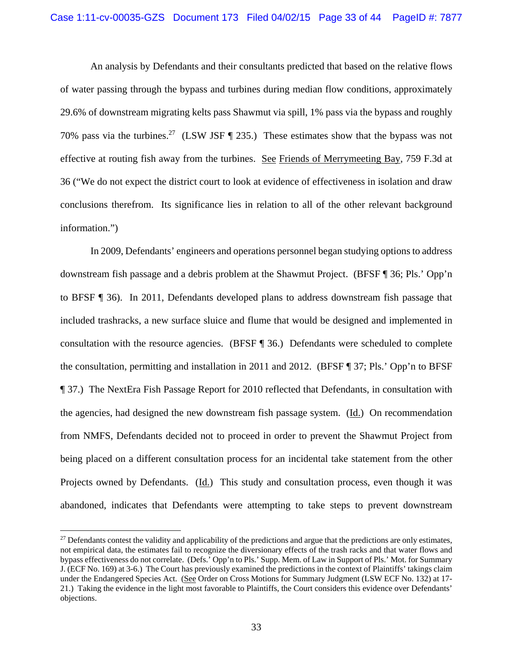An analysis by Defendants and their consultants predicted that based on the relative flows of water passing through the bypass and turbines during median flow conditions, approximately 29.6% of downstream migrating kelts pass Shawmut via spill, 1% pass via the bypass and roughly 70% pass via the turbines.<sup>27</sup> (LSW JSF ¶ 235.) These estimates show that the bypass was not effective at routing fish away from the turbines. See Friends of Merrymeeting Bay, 759 F.3d at 36 ("We do not expect the district court to look at evidence of effectiveness in isolation and draw conclusions therefrom. Its significance lies in relation to all of the other relevant background information.")

In 2009, Defendants' engineers and operations personnel began studying options to address downstream fish passage and a debris problem at the Shawmut Project. (BFSF ¶ 36; Pls.' Opp'n to BFSF ¶ 36). In 2011, Defendants developed plans to address downstream fish passage that included trashracks, a new surface sluice and flume that would be designed and implemented in consultation with the resource agencies. (BFSF ¶ 36.) Defendants were scheduled to complete the consultation, permitting and installation in 2011 and 2012. (BFSF ¶ 37; Pls.' Opp'n to BFSF ¶ 37.) The NextEra Fish Passage Report for 2010 reflected that Defendants, in consultation with the agencies, had designed the new downstream fish passage system. (Id.) On recommendation from NMFS, Defendants decided not to proceed in order to prevent the Shawmut Project from being placed on a different consultation process for an incidental take statement from the other Projects owned by Defendants. (Id.) This study and consultation process, even though it was abandoned, indicates that Defendants were attempting to take steps to prevent downstream

 $27$  Defendants contest the validity and applicability of the predictions and argue that the predictions are only estimates, not empirical data, the estimates fail to recognize the diversionary effects of the trash racks and that water flows and bypass effectiveness do not correlate. (Defs.' Opp'n to Pls.' Supp. Mem. of Law in Support of Pls.' Mot. for Summary J. (ECF No. 169) at 3-6.) The Court has previously examined the predictions in the context of Plaintiffs' takings claim under the Endangered Species Act. (See Order on Cross Motions for Summary Judgment (LSW ECF No. 132) at 17- 21.) Taking the evidence in the light most favorable to Plaintiffs, the Court considers this evidence over Defendants' objections.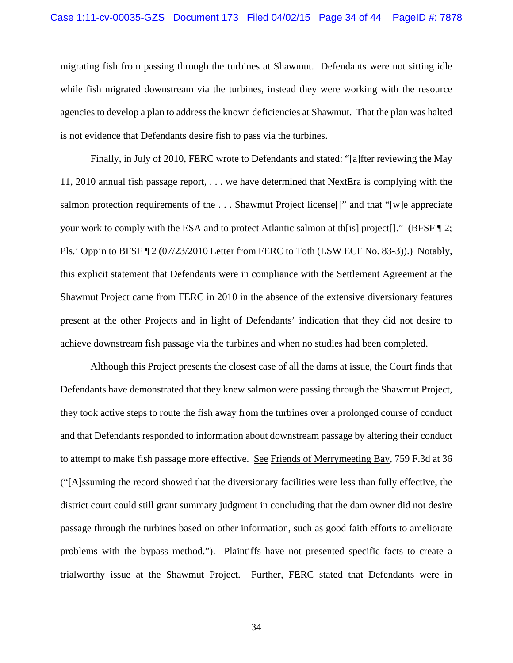migrating fish from passing through the turbines at Shawmut. Defendants were not sitting idle while fish migrated downstream via the turbines, instead they were working with the resource agencies to develop a plan to address the known deficiencies at Shawmut. That the plan was halted is not evidence that Defendants desire fish to pass via the turbines.

Finally, in July of 2010, FERC wrote to Defendants and stated: "[a]fter reviewing the May 11, 2010 annual fish passage report, . . . we have determined that NextEra is complying with the salmon protection requirements of the ... Shawmut Project license<sup>[]"</sup> and that "[w]e appreciate your work to comply with the ESA and to protect Atlantic salmon at th[is] project[]." (BFSF ¶ 2; Pls.' Opp'n to BFSF ¶ 2 (07/23/2010 Letter from FERC to Toth (LSW ECF No. 83-3)).) Notably, this explicit statement that Defendants were in compliance with the Settlement Agreement at the Shawmut Project came from FERC in 2010 in the absence of the extensive diversionary features present at the other Projects and in light of Defendants' indication that they did not desire to achieve downstream fish passage via the turbines and when no studies had been completed.

Although this Project presents the closest case of all the dams at issue, the Court finds that Defendants have demonstrated that they knew salmon were passing through the Shawmut Project, they took active steps to route the fish away from the turbines over a prolonged course of conduct and that Defendants responded to information about downstream passage by altering their conduct to attempt to make fish passage more effective. See Friends of Merrymeeting Bay, 759 F.3d at 36 ("[A]ssuming the record showed that the diversionary facilities were less than fully effective, the district court could still grant summary judgment in concluding that the dam owner did not desire passage through the turbines based on other information, such as good faith efforts to ameliorate problems with the bypass method."). Plaintiffs have not presented specific facts to create a trialworthy issue at the Shawmut Project. Further, FERC stated that Defendants were in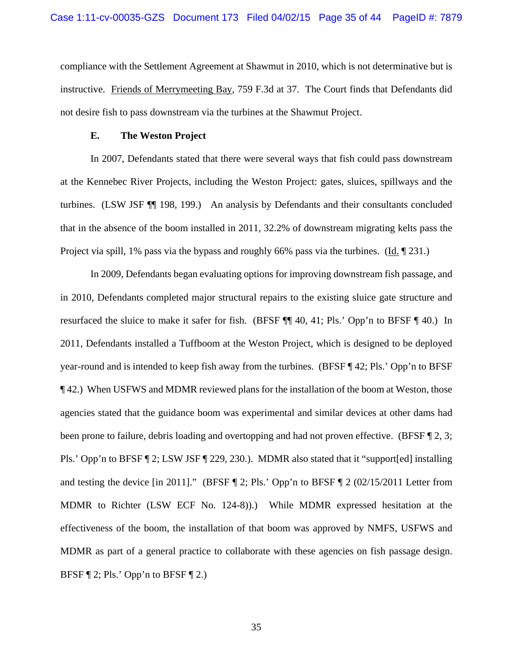compliance with the Settlement Agreement at Shawmut in 2010, which is not determinative but is instructive. Friends of Merrymeeting Bay, 759 F.3d at 37. The Court finds that Defendants did not desire fish to pass downstream via the turbines at the Shawmut Project.

#### **E. The Weston Project**

In 2007, Defendants stated that there were several ways that fish could pass downstream at the Kennebec River Projects, including the Weston Project: gates, sluices, spillways and the turbines. (LSW JSF ¶¶ 198, 199.) An analysis by Defendants and their consultants concluded that in the absence of the boom installed in 2011, 32.2% of downstream migrating kelts pass the Project via spill, 1% pass via the bypass and roughly 66% pass via the turbines. (Id. 1231.)

In 2009, Defendants began evaluating options for improving downstream fish passage, and in 2010, Defendants completed major structural repairs to the existing sluice gate structure and resurfaced the sluice to make it safer for fish. (BFSF ¶¶ 40, 41; Pls.' Opp'n to BFSF ¶ 40.) In 2011, Defendants installed a Tuffboom at the Weston Project, which is designed to be deployed year-round and is intended to keep fish away from the turbines. (BFSF ¶ 42; Pls.' Opp'n to BFSF ¶ 42.) When USFWS and MDMR reviewed plans for the installation of the boom at Weston, those agencies stated that the guidance boom was experimental and similar devices at other dams had been prone to failure, debris loading and overtopping and had not proven effective. (BFSF ¶ 2, 3; Pls.' Opp'n to BFSF ¶ 2; LSW JSF ¶ 229, 230.). MDMR also stated that it "support[ed] installing and testing the device [in 2011]." (BFSF  $\P$  2; Pls.' Opp'n to BFSF  $\P$  2 (02/15/2011 Letter from MDMR to Richter (LSW ECF No. 124-8)).) While MDMR expressed hesitation at the effectiveness of the boom, the installation of that boom was approved by NMFS, USFWS and MDMR as part of a general practice to collaborate with these agencies on fish passage design. BFSF  $\P$  2; Pls.' Opp'n to BFSF  $\P$  2.)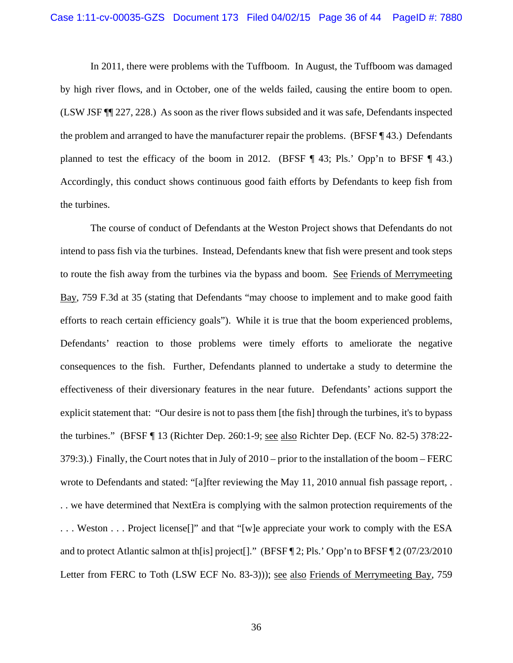In 2011, there were problems with the Tuffboom. In August, the Tuffboom was damaged by high river flows, and in October, one of the welds failed, causing the entire boom to open. (LSW JSF ¶¶ 227, 228.) As soon as the river flows subsided and it was safe, Defendants inspected the problem and arranged to have the manufacturer repair the problems. (BFSF ¶ 43.) Defendants planned to test the efficacy of the boom in 2012. (BFSF  $\P$  43; Pls.' Opp'n to BFSF  $\P$  43.) Accordingly, this conduct shows continuous good faith efforts by Defendants to keep fish from the turbines.

The course of conduct of Defendants at the Weston Project shows that Defendants do not intend to pass fish via the turbines. Instead, Defendants knew that fish were present and took steps to route the fish away from the turbines via the bypass and boom. See Friends of Merrymeeting Bay, 759 F.3d at 35 (stating that Defendants "may choose to implement and to make good faith efforts to reach certain efficiency goals"). While it is true that the boom experienced problems, Defendants' reaction to those problems were timely efforts to ameliorate the negative consequences to the fish. Further, Defendants planned to undertake a study to determine the effectiveness of their diversionary features in the near future. Defendants' actions support the explicit statement that: "Our desire is not to pass them [the fish] through the turbines, it's to bypass the turbines." (BFSF ¶ 13 (Richter Dep. 260:1-9; see also Richter Dep. (ECF No. 82-5) 378:22- 379:3).) Finally, the Court notes that in July of 2010 – prior to the installation of the boom – FERC wrote to Defendants and stated: "[a]fter reviewing the May 11, 2010 annual fish passage report, . . . we have determined that NextEra is complying with the salmon protection requirements of the . . . Weston . . . Project license[]" and that "[w]e appreciate your work to comply with the ESA and to protect Atlantic salmon at th[is] project[]." (BFSF ¶ 2; Pls.' Opp'n to BFSF ¶ 2 (07/23/2010 Letter from FERC to Toth (LSW ECF No. 83-3))); see also Friends of Merrymeeting Bay, 759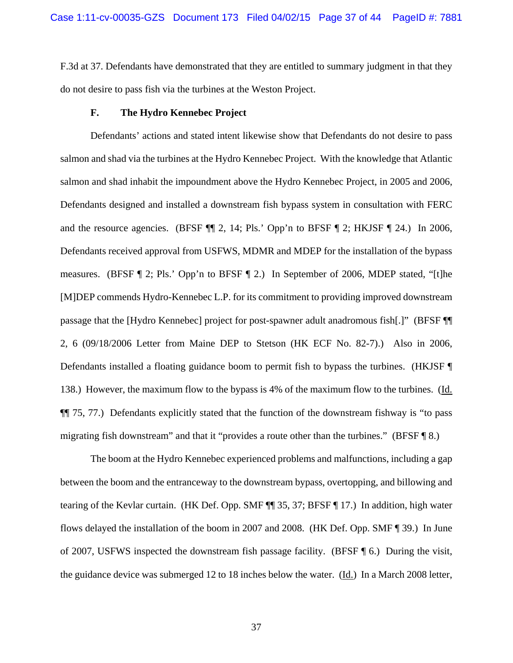F.3d at 37. Defendants have demonstrated that they are entitled to summary judgment in that they do not desire to pass fish via the turbines at the Weston Project.

#### **F. The Hydro Kennebec Project**

 Defendants' actions and stated intent likewise show that Defendants do not desire to pass salmon and shad via the turbines at the Hydro Kennebec Project. With the knowledge that Atlantic salmon and shad inhabit the impoundment above the Hydro Kennebec Project, in 2005 and 2006, Defendants designed and installed a downstream fish bypass system in consultation with FERC and the resource agencies. (BFSF ¶¶ 2, 14; Pls.' Opp'n to BFSF ¶ 2; HKJSF ¶ 24.) In 2006, Defendants received approval from USFWS, MDMR and MDEP for the installation of the bypass measures. (BFSF ¶ 2; Pls.' Opp'n to BFSF ¶ 2.) In September of 2006, MDEP stated, "[t]he [M]DEP commends Hydro-Kennebec L.P. for its commitment to providing improved downstream passage that the [Hydro Kennebec] project for post-spawner adult anadromous fish[.]" (BFSF ¶¶ 2, 6 (09/18/2006 Letter from Maine DEP to Stetson (HK ECF No. 82-7).) Also in 2006, Defendants installed a floating guidance boom to permit fish to bypass the turbines. (HKJSF ¶ 138.) However, the maximum flow to the bypass is 4% of the maximum flow to the turbines. (Id. ¶¶ 75, 77.) Defendants explicitly stated that the function of the downstream fishway is "to pass migrating fish downstream" and that it "provides a route other than the turbines." (BFSF ¶ 8.)

 The boom at the Hydro Kennebec experienced problems and malfunctions, including a gap between the boom and the entranceway to the downstream bypass, overtopping, and billowing and tearing of the Kevlar curtain. (HK Def. Opp. SMF ¶¶ 35, 37; BFSF ¶ 17.) In addition, high water flows delayed the installation of the boom in 2007 and 2008. (HK Def. Opp. SMF ¶ 39.) In June of 2007, USFWS inspected the downstream fish passage facility. (BFSF ¶ 6.) During the visit, the guidance device was submerged 12 to 18 inches below the water. (Id.) In a March 2008 letter,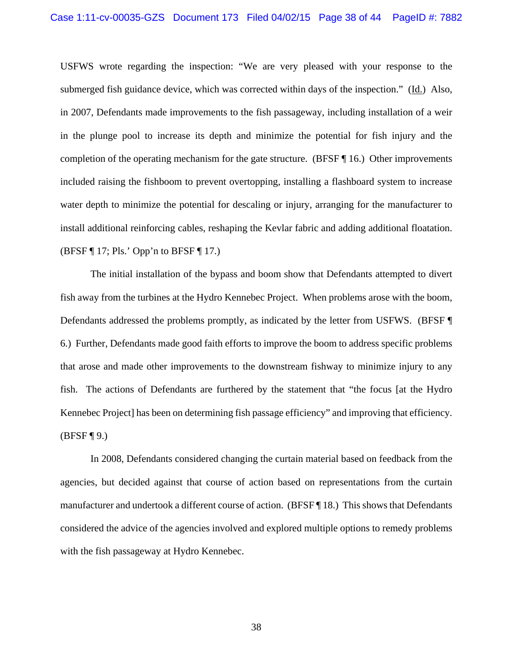USFWS wrote regarding the inspection: "We are very pleased with your response to the submerged fish guidance device, which was corrected within days of the inspection." (Id.) Also, in 2007, Defendants made improvements to the fish passageway, including installation of a weir in the plunge pool to increase its depth and minimize the potential for fish injury and the completion of the operating mechanism for the gate structure. (BFSF  $\P$ 16.) Other improvements included raising the fishboom to prevent overtopping, installing a flashboard system to increase water depth to minimize the potential for descaling or injury, arranging for the manufacturer to install additional reinforcing cables, reshaping the Kevlar fabric and adding additional floatation. (BFSF ¶ 17; Pls.' Opp'n to BFSF ¶ 17.)

 The initial installation of the bypass and boom show that Defendants attempted to divert fish away from the turbines at the Hydro Kennebec Project. When problems arose with the boom, Defendants addressed the problems promptly, as indicated by the letter from USFWS. (BFSF ¶ 6.) Further, Defendants made good faith efforts to improve the boom to address specific problems that arose and made other improvements to the downstream fishway to minimize injury to any fish. The actions of Defendants are furthered by the statement that "the focus [at the Hydro Kennebec Project] has been on determining fish passage efficiency" and improving that efficiency.  $(BFSF \, \P \, 9)$ 

 In 2008, Defendants considered changing the curtain material based on feedback from the agencies, but decided against that course of action based on representations from the curtain manufacturer and undertook a different course of action. (BFSF ¶ 18.) This shows that Defendants considered the advice of the agencies involved and explored multiple options to remedy problems with the fish passageway at Hydro Kennebec.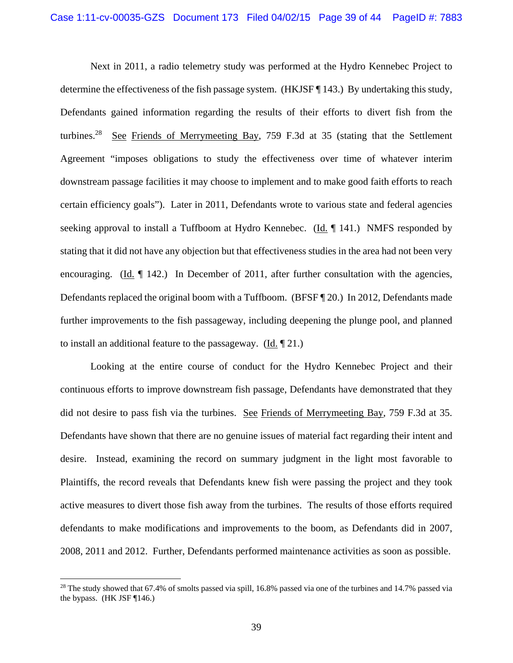Next in 2011, a radio telemetry study was performed at the Hydro Kennebec Project to determine the effectiveness of the fish passage system. (HKJSF ¶ 143.) By undertaking this study, Defendants gained information regarding the results of their efforts to divert fish from the turbines.<sup>28</sup> See Friends of Merrymeeting Bay, 759 F.3d at 35 (stating that the Settlement Agreement "imposes obligations to study the effectiveness over time of whatever interim downstream passage facilities it may choose to implement and to make good faith efforts to reach certain efficiency goals"). Later in 2011, Defendants wrote to various state and federal agencies seeking approval to install a Tuffboom at Hydro Kennebec. (Id. ¶ 141.) NMFS responded by stating that it did not have any objection but that effectiveness studies in the area had not been very encouraging. (Id.  $\P$  142.) In December of 2011, after further consultation with the agencies, Defendants replaced the original boom with a Tuffboom. (BFSF  $\P$  20.) In 2012, Defendants made further improvements to the fish passageway, including deepening the plunge pool, and planned to install an additional feature to the passageway. (Id. ¶ 21.)

 Looking at the entire course of conduct for the Hydro Kennebec Project and their continuous efforts to improve downstream fish passage, Defendants have demonstrated that they did not desire to pass fish via the turbines. See Friends of Merrymeeting Bay, 759 F.3d at 35. Defendants have shown that there are no genuine issues of material fact regarding their intent and desire. Instead, examining the record on summary judgment in the light most favorable to Plaintiffs, the record reveals that Defendants knew fish were passing the project and they took active measures to divert those fish away from the turbines. The results of those efforts required defendants to make modifications and improvements to the boom, as Defendants did in 2007, 2008, 2011 and 2012. Further, Defendants performed maintenance activities as soon as possible.

<sup>&</sup>lt;sup>28</sup> The study showed that 67.4% of smolts passed via spill, 16.8% passed via one of the turbines and 14.7% passed via the bypass. (HK JSF ¶146.)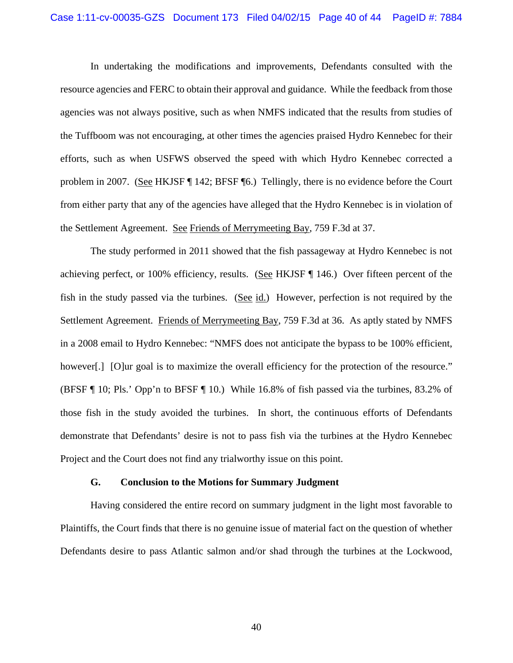In undertaking the modifications and improvements, Defendants consulted with the resource agencies and FERC to obtain their approval and guidance. While the feedback from those agencies was not always positive, such as when NMFS indicated that the results from studies of the Tuffboom was not encouraging, at other times the agencies praised Hydro Kennebec for their efforts, such as when USFWS observed the speed with which Hydro Kennebec corrected a problem in 2007. (See HKJSF ¶ 142; BFSF ¶6.) Tellingly, there is no evidence before the Court from either party that any of the agencies have alleged that the Hydro Kennebec is in violation of the Settlement Agreement. See Friends of Merrymeeting Bay, 759 F.3d at 37.

The study performed in 2011 showed that the fish passageway at Hydro Kennebec is not achieving perfect, or 100% efficiency, results. (See HKJSF ¶ 146.) Over fifteen percent of the fish in the study passed via the turbines. (See id.) However, perfection is not required by the Settlement Agreement. Friends of Merrymeeting Bay, 759 F.3d at 36. As aptly stated by NMFS in a 2008 email to Hydro Kennebec: "NMFS does not anticipate the bypass to be 100% efficient, however[.] [O]ur goal is to maximize the overall efficiency for the protection of the resource." (BFSF ¶ 10; Pls.' Opp'n to BFSF ¶ 10.) While 16.8% of fish passed via the turbines, 83.2% of those fish in the study avoided the turbines. In short, the continuous efforts of Defendants demonstrate that Defendants' desire is not to pass fish via the turbines at the Hydro Kennebec Project and the Court does not find any trialworthy issue on this point.

### **G. Conclusion to the Motions for Summary Judgment**

Having considered the entire record on summary judgment in the light most favorable to Plaintiffs, the Court finds that there is no genuine issue of material fact on the question of whether Defendants desire to pass Atlantic salmon and/or shad through the turbines at the Lockwood,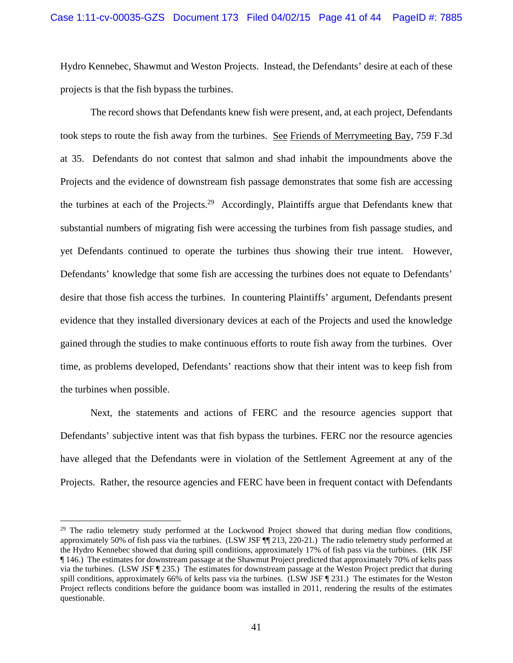Hydro Kennebec, Shawmut and Weston Projects. Instead, the Defendants' desire at each of these projects is that the fish bypass the turbines.

The record shows that Defendants knew fish were present, and, at each project, Defendants took steps to route the fish away from the turbines. See Friends of Merrymeeting Bay, 759 F.3d at 35. Defendants do not contest that salmon and shad inhabit the impoundments above the Projects and the evidence of downstream fish passage demonstrates that some fish are accessing the turbines at each of the Projects.<sup>29</sup> Accordingly, Plaintiffs argue that Defendants knew that substantial numbers of migrating fish were accessing the turbines from fish passage studies, and yet Defendants continued to operate the turbines thus showing their true intent. However, Defendants' knowledge that some fish are accessing the turbines does not equate to Defendants' desire that those fish access the turbines. In countering Plaintiffs' argument, Defendants present evidence that they installed diversionary devices at each of the Projects and used the knowledge gained through the studies to make continuous efforts to route fish away from the turbines. Over time, as problems developed, Defendants' reactions show that their intent was to keep fish from the turbines when possible.

Next, the statements and actions of FERC and the resource agencies support that Defendants' subjective intent was that fish bypass the turbines. FERC nor the resource agencies have alleged that the Defendants were in violation of the Settlement Agreement at any of the Projects. Rather, the resource agencies and FERC have been in frequent contact with Defendants

<sup>&</sup>lt;sup>29</sup> The radio telemetry study performed at the Lockwood Project showed that during median flow conditions, approximately 50% of fish pass via the turbines. (LSW JSF ¶¶ 213, 220-21.) The radio telemetry study performed at the Hydro Kennebec showed that during spill conditions, approximately 17% of fish pass via the turbines. (HK JSF ¶ 146.) The estimates for downstream passage at the Shawmut Project predicted that approximately 70% of kelts pass via the turbines. (LSW JSF ¶ 235.) The estimates for downstream passage at the Weston Project predict that during spill conditions, approximately 66% of kelts pass via the turbines. (LSW JSF [231.) The estimates for the Weston Project reflects conditions before the guidance boom was installed in 2011, rendering the results of the estimates questionable.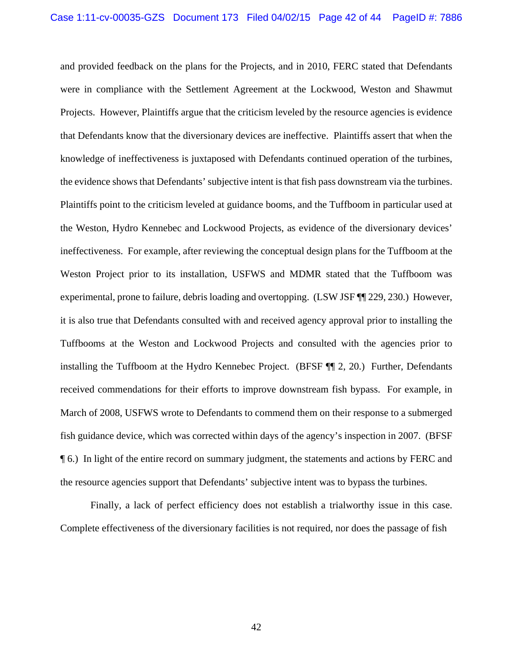and provided feedback on the plans for the Projects, and in 2010, FERC stated that Defendants were in compliance with the Settlement Agreement at the Lockwood, Weston and Shawmut Projects. However, Plaintiffs argue that the criticism leveled by the resource agencies is evidence that Defendants know that the diversionary devices are ineffective. Plaintiffs assert that when the knowledge of ineffectiveness is juxtaposed with Defendants continued operation of the turbines, the evidence shows that Defendants' subjective intent is that fish pass downstream via the turbines. Plaintiffs point to the criticism leveled at guidance booms, and the Tuffboom in particular used at the Weston, Hydro Kennebec and Lockwood Projects, as evidence of the diversionary devices' ineffectiveness. For example, after reviewing the conceptual design plans for the Tuffboom at the Weston Project prior to its installation, USFWS and MDMR stated that the Tuffboom was experimental, prone to failure, debris loading and overtopping. (LSW JSF ¶¶ 229, 230.) However, it is also true that Defendants consulted with and received agency approval prior to installing the Tuffbooms at the Weston and Lockwood Projects and consulted with the agencies prior to installing the Tuffboom at the Hydro Kennebec Project. (BFSF ¶¶ 2, 20.) Further, Defendants received commendations for their efforts to improve downstream fish bypass. For example, in March of 2008, USFWS wrote to Defendants to commend them on their response to a submerged fish guidance device, which was corrected within days of the agency's inspection in 2007. (BFSF ¶ 6.) In light of the entire record on summary judgment, the statements and actions by FERC and the resource agencies support that Defendants' subjective intent was to bypass the turbines.

Finally, a lack of perfect efficiency does not establish a trialworthy issue in this case. Complete effectiveness of the diversionary facilities is not required, nor does the passage of fish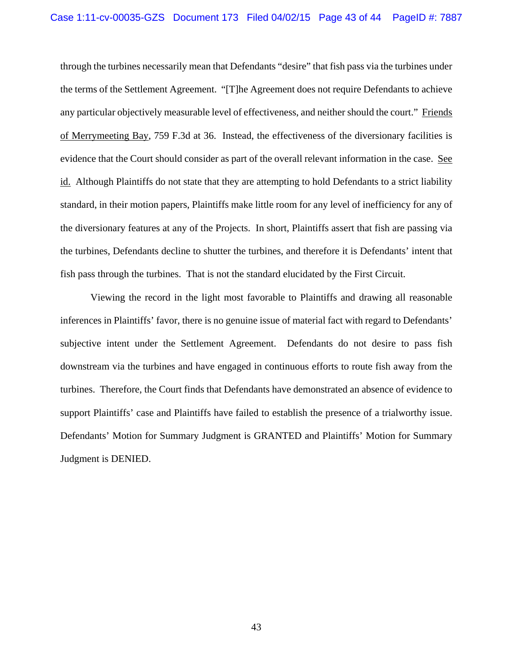through the turbines necessarily mean that Defendants "desire" that fish pass via the turbines under the terms of the Settlement Agreement. "[T]he Agreement does not require Defendants to achieve any particular objectively measurable level of effectiveness, and neither should the court." Friends of Merrymeeting Bay, 759 F.3d at 36. Instead, the effectiveness of the diversionary facilities is evidence that the Court should consider as part of the overall relevant information in the case. See id. Although Plaintiffs do not state that they are attempting to hold Defendants to a strict liability standard, in their motion papers, Plaintiffs make little room for any level of inefficiency for any of the diversionary features at any of the Projects. In short, Plaintiffs assert that fish are passing via the turbines, Defendants decline to shutter the turbines, and therefore it is Defendants' intent that fish pass through the turbines. That is not the standard elucidated by the First Circuit.

Viewing the record in the light most favorable to Plaintiffs and drawing all reasonable inferences in Plaintiffs' favor, there is no genuine issue of material fact with regard to Defendants' subjective intent under the Settlement Agreement. Defendants do not desire to pass fish downstream via the turbines and have engaged in continuous efforts to route fish away from the turbines. Therefore, the Court finds that Defendants have demonstrated an absence of evidence to support Plaintiffs' case and Plaintiffs have failed to establish the presence of a trialworthy issue. Defendants' Motion for Summary Judgment is GRANTED and Plaintiffs' Motion for Summary Judgment is DENIED.